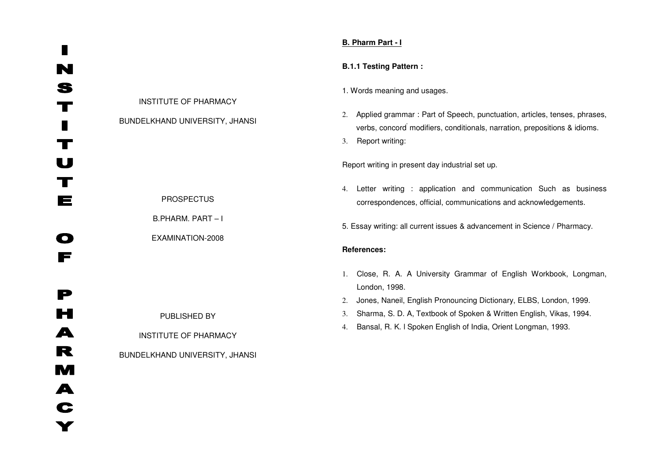# **B. Pharm Part - I**

# **B.1.1 Testing Pattern :**

#### 1. Words meaning and usages.

2. Applied grammar : Part of Speech, punctuation, articles, tenses, phrases, verbs, concord' modifiers, conditionals, narration, prepositions & idioms.

3. Report writing:

Report writing in present day industrial set up.

4. Letter writing : application and communication Such as business correspondences, official, communications and acknowledgements.

5. Essay writing: all current issues & advancement in Science / Pharmacy.

## **References:**

- 1. Close, R. A. A University Grammar of English Workbook, Longman, London, 1998.
- 2. Jones, Naneil, English Pronouncing Dictionary, ELBS, London, 1999.
- 3. Sharma, S. D. A, Textbook of Spoken & Written English, Vikas, 1994.
- 4. Bansal, R. K. l Spoken English of India, Orient Longman, 1993.

INSTITUTE OF PHARMACY

BUNDELKHAND UNIVERSITY, JHANSI

PROSPECTUS

B.PHARM. PART – I

EXAMINATION-2008

PUBLISHED BY

INSTITUTE OF PHARMACY

BUNDELKHAND UNIVERSITY, JHANSI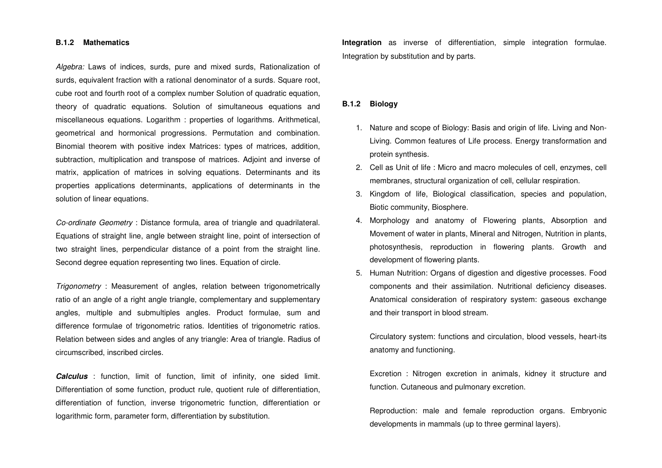#### **B.1.2 Mathematics**

Algebra: Laws of indices, surds, pure and mixed surds, Rationalization of surds, equivalent fraction with a rational denominator of a surds. Square root, cube root and fourth root of a complex number Solution of quadratic equation, theory of quadratic equations. Solution of simultaneous equations and miscellaneous equations. Logarithm : properties of logarithms. Arithmetical, geometrical and hormonical progressions. Permutation and combination. Binomial theorem with positive index Matrices: types of matrices, addition, subtraction, multiplication and transpose of matrices. Adjoint and inverse of matrix, application of matrices in solving equations. Determinants and its properties applications determinants, applications of determinants in the solution of linear equations.

Co-ordinate Geometry : Distance formula, area of triangle and quadrilateral. Equations of straight line, angle between straight line, point of intersection of two straight lines, perpendicular distance of a point from the straight line. Second degree equation representing two lines. Equation of circle.

Trigonometry : Measurement of angles, relation between trigonometrically ratio of an angle of a right angle triangle, complementary and supplementary angles, multiple and submultiples angles. Product formulae, sum and difference formulae of trigonometric ratios. Identities of trigonometric ratios. Relation between sides and angles of any triangle: Area of triangle. Radius of circumscribed, inscribed circles.

**Calculus** : function, limit of function, limit of infinity, one sided limit. Differentiation of some function, product rule, quotient rule of differentiation, differentiation of function, inverse trigonometric function, differentiation or logarithmic form, parameter form, differentiation by substitution.

**Integration** as inverse of differentiation, simple integration formulae. Integration by substitution and by parts.

#### **B.1.2 Biology**

- 1. Nature and scope of Biology: Basis and origin of life. Living and Non-Living. Common features of Life process. Energy transformation and protein synthesis.
- 2. Cell as Unit of life : Micro and macro molecules of cell, enzymes, cell membranes, structural organization of cell, cellular respiration.
- 3. Kingdom of life, Biological classification, species and population, Biotic community, Biosphere.
- 4. Morphology and anatomy of Flowering plants, Absorption and Movement of water in plants, Mineral and Nitrogen, Nutrition in plants, photosynthesis, reproduction in flowering plants. Growth and development of flowering plants.
- 5. Human Nutrition: Organs of digestion and digestive processes. Food components and their assimilation. Nutritional deficiency diseases. Anatomical consideration of respiratory system: gaseous exchange and their transport in blood stream.

Circulatory system: functions and circulation, blood vessels, heart-its anatomy and functioning.

Excretion : Nitrogen excretion in animals, kidney it structure and function. Cutaneous and pulmonary excretion.

Reproduction: male and female reproduction organs. Embryonic developments in mammals (up to three germinal layers).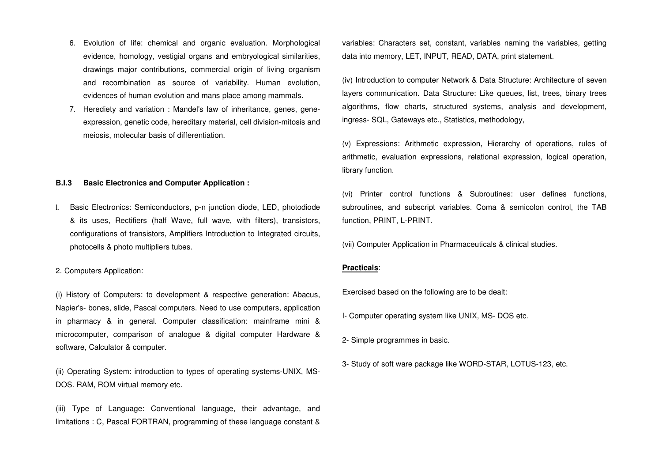- 6. Evolution of life: chemical and organic evaluation. Morphological evidence, homology, vestigial organs and embryological similarities, drawings major contributions, commercial origin of living organism and recombination as source of variability. Human evolution, evidences of human evolution and mans place among mammals.
- 7. Herediety and variation : Mandel's law of inheritance, genes, geneexpression, genetic code, hereditary material, cell division-mitosis and meiosis, molecular basis of differentiation.

# **B.I.3 Basic Electronics and Computer Application :**

l. Basic Electronics: Semiconductors, p-n junction diode, LED, photodiode & its uses, Rectifiers (half Wave, full wave, with filters), transistors, configurations of transistors, Amplifiers Introduction to Integrated circuits, photocells & photo multipliers tubes.

## 2. Computers Application:

(i) History of Computers: to development & respective generation: Abacus, Napier's- bones, slide, Pascal computers. Need to use computers, application in pharmacy & in general. Computer classification: mainframe mini & microcomputer, comparison of analogue & digital computer Hardware & software, Calculator & computer.

(ii) Operating System: introduction to types of operating systems-UNIX, MS-DOS. RAM, ROM virtual memory etc.

(iii) Type of Language: Conventional language, their advantage, and limitations : C, Pascal FORTRAN, programming of these language constant & variables: Characters set, constant, variables naming the variables, getting data into memory, LET, INPUT, READ, DATA, print statement.

(iv) Introduction to computer Network & Data Structure: Architecture of seven layers communication. Data Structure: Like queues, list, trees, binary trees algorithms, flow charts, structured systems, analysis and development, ingress- SQL, Gateways etc., Statistics, methodology,

(v) Expressions: Arithmetic expression, Hierarchy of operations, rules of arithmetic, evaluation expressions, relational expression, logical operation, library function.

(vi) Printer control functions & Subroutines: user defines functions, subroutines, and subscript variables. Coma & semicolon control, the TAB function, PRINT, L-PRINT.

(vii) Computer Application in Pharmaceuticals & clinical studies.

#### **Practicals**:

Exercised based on the following are to be dealt:

- I- Computer operating system like UNIX, MS- DOS etc.
- 2- Simple programmes in basic.
- 3- Study of soft ware package like WORD-STAR, LOTUS-123, etc.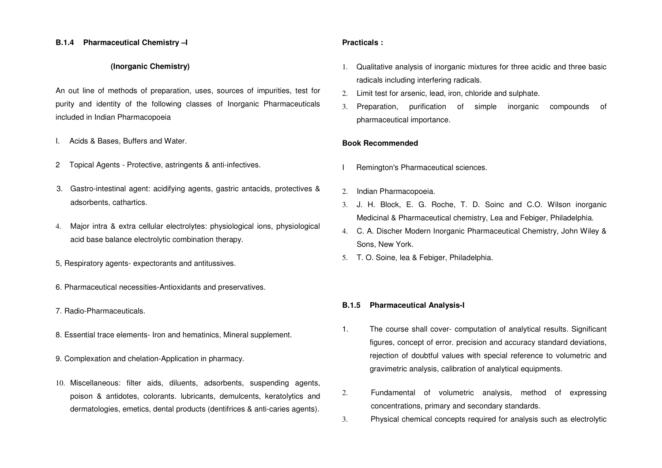#### **B.1.4 Pharmaceutical Chemistry –I**

# **(Inorganic Chemistry)**

An out line of methods of preparation, uses, sources of impurities, test for purity and identity of the following classes of Inorganic Pharmaceuticals included in Indian Pharmacopoeia

- I. Acids & Bases, Buffers and Water.
- 2 Topical Agents Protective, astringents & anti-infectives.
- 3. Gastro-intestinal agent: acidifying agents, gastric antacids, protectives & adsorbents, cathartics.
- 4. Major intra & extra cellular electrolytes: physiological ions, physiological acid base balance electrolytic combination therapy.
- 5, Respiratory agents- expectorants and antitussives.
- 6. Pharmaceutical necessities-Antioxidants and preservatives.
- 7. Radio-Pharmaceuticals.
- 8. Essential trace elements- Iron and hematinics, Mineral supplement.
- 9. Complexation and chelation-Application in pharmacy.
- 10. Miscellaneous: filter aids, diluents, adsorbents, suspending agents, poison & antidotes, colorants. lubricants, demulcents, keratolytics and dermatologies, emetics, dental products (dentifrices & anti-caries agents).

### **Practicals :**

- 1. Qualitative analysis of inorganic mixtures for three acidic and three basic radicals including interfering radicals.
- 2. Limit test for arsenic, lead, iron, chloride and sulphate.
- 3. Preparation, purification of simple inorganic compounds of pharmaceutical importance.

## **Book Recommended**

- Remington's Pharmaceutical sciences.
- 2. Indian Pharmacopoeia.
- 3. J. H. Block, E. G. Roche, T. D. Soinc and C.O. Wilson inorganic Medicinal & Pharmaceutical chemistry, Lea and Febiger, Philadelphia.
- 4. C. A. Discher Modern Inorganic Pharmaceutical Chemistry, John Wiley & Sons, New York.
- 5. T. O. Soine, lea & Febiger, Philadelphia.

#### **B.1.5 Pharmaceutical Analysis-I**

- 1. The course shall cover- computation of analytical results. Significant figures, concept of error. precision and accuracy standard deviations, rejection of doubtful values with special reference to volumetric and gravimetric analysis, calibration of analytical equipments.
- 2. Fundamental of volumetric analysis, method of expressing concentrations, primary and secondary standards.
- 3. Physical chemical concepts required for analysis such as electrolytic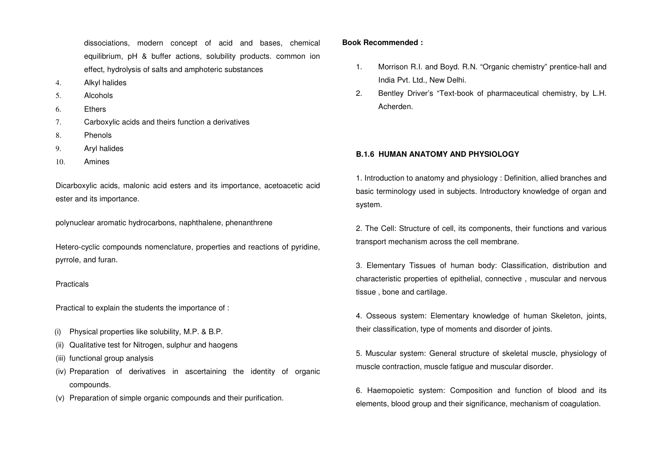dissociations, modern concept of acid and bases, chemical equilibrium, pH & buffer actions, solubility products. common ion effect, hydrolysis of salts and amphoteric substances

- 4. Alkyl halides
- 5. Alcohols
- 6. Ethers
- 7. Carboxylic acids and theirs function a derivatives
- 8. Phenols
- 9. Aryl halides
- 10. Amines

Dicarboxylic acids, malonic acid esters and its importance, acetoacetic acid ester and its importance.

polynuclear aromatic hydrocarbons, naphthalene, phenanthrene

Hetero-cyclic compounds nomenclature, properties and reactions of pyridine, pyrrole, and furan.

#### Practicals

Practical to explain the students the importance of :

- (i) Physical properties like solubility, M.P. & B.P.
- (ii) Qualitative test for Nitrogen, sulphur and haogens
- (iii) functional group analysis
- (iv) Preparation of derivatives in ascertaining the identity of organic compounds.
- (v) Preparation of simple organic compounds and their purification.

## **Book Recommended :**

- 1. Morrison R.I. and Boyd. R.N. "Organic chemistry" prentice-hall and India Pvt. Ltd., New Delhi.
- 2. Bentley Driver's "Text-book of pharmaceutical chemistry, by L.H. Acherden.

# **B.1.6 HUMAN ANATOMY AND PHYSIOLOGY**

1. Introduction to anatomy and physiology : Definition, allied branches and basic terminology used in subjects. Introductory knowledge of organ and system.

2. The Cell: Structure of cell, its components, their functions and various transport mechanism across the cell membrane.

3. Elementary Tissues of human body: Classification, distribution and characteristic properties of epithelial, connective , muscular and nervous tissue , bone and cartilage.

4. Osseous system: Elementary knowledge of human Skeleton, joints, their classification, type of moments and disorder of joints.

5. Muscular system: General structure of skeletal muscle, physiology of muscle contraction, muscle fatigue and muscular disorder.

6. Haemopoietic system: Composition and function of blood and its elements, blood group and their significance, mechanism of coagulation.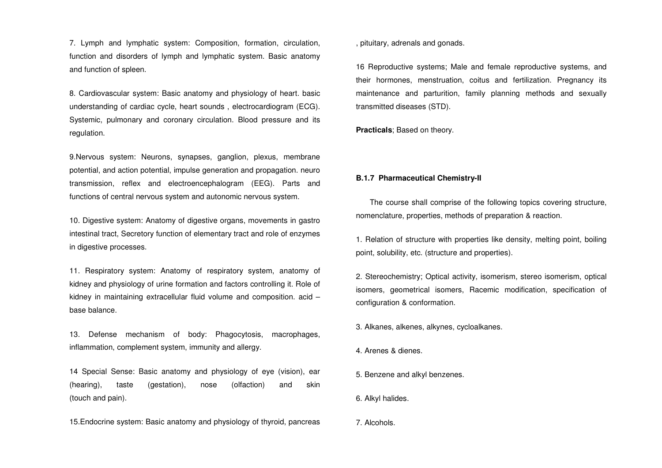7. Lymph and lymphatic system: Composition, formation, circulation, function and disorders of lymph and lymphatic system. Basic anatomy and function of spleen.

8. Cardiovascular system: Basic anatomy and physiology of heart. basic understanding of cardiac cycle, heart sounds , electrocardiogram (ECG). Systemic, pulmonary and coronary circulation. Blood pressure and its regulation.

9.Nervous system: Neurons, synapses, ganglion, plexus, membrane potential, and action potential, impulse generation and propagation. neuro transmission, reflex and electroencephalogram (EEG). Parts and functions of central nervous system and autonomic nervous system.

10. Digestive system: Anatomy of digestive organs, movements in gastro intestinal tract, Secretory function of elementary tract and role of enzymes in digestive processes.

11. Respiratory system: Anatomy of respiratory system, anatomy of kidney and physiology of urine formation and factors controlling it. Role of kidney in maintaining extracellular fluid volume and composition. acid –base balance.

13. Defense mechanism of body: Phagocytosis, macrophages, inflammation, complement system, immunity and allergy.

14 Special Sense: Basic anatomy and physiology of eye (vision), ear (hearing), taste (gestation), nose (olfaction) and skin (touch and pain).

15.Endocrine system: Basic anatomy and physiology of thyroid, pancreas

, pituitary, adrenals and gonads.

16 Reproductive systems; Male and female reproductive systems, and their hormones, menstruation, coitus and fertilization. Pregnancy its maintenance and parturition, family planning methods and sexually transmitted diseases (STD).

**Practicals**; Based on theory.

#### **B.1.7 Pharmaceutical Chemistry-II**

 The course shall comprise of the following topics covering structure, nomenclature, properties, methods of preparation & reaction.

1. Relation of structure with properties like density, melting point, boiling point, solubility, etc. (structure and properties).

2. Stereochemistry; Optical activity, isomerism, stereo isomerism, optical isomers, geometrical isomers, Racemic modification, specification of configuration & conformation.

3. Alkanes, alkenes, alkynes, cycloalkanes.

- 4. Arenes & dienes.
- 5. Benzene and alkyl benzenes.
- 6. Alkyl halides.

7. Alcohols.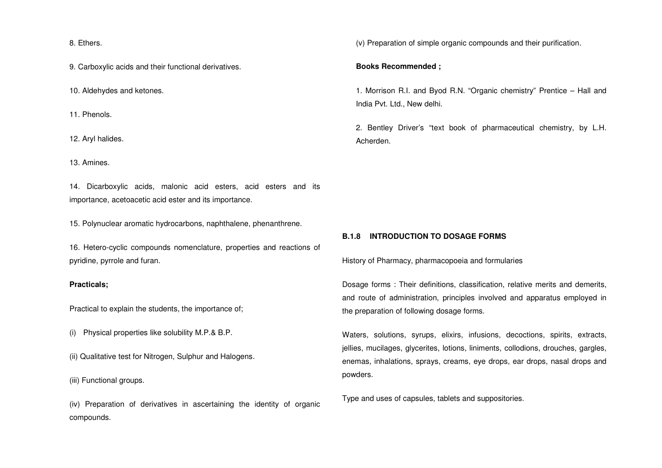8. Ethers.

9. Carboxylic acids and their functional derivatives.

10. Aldehydes and ketones.

11. Phenols.

12. Aryl halides.

13. Amines.

14. Dicarboxylic acids, malonic acid esters, acid esters and its importance, acetoacetic acid ester and its importance.

15. Polynuclear aromatic hydrocarbons, naphthalene, phenanthrene.

16. Hetero-cyclic compounds nomenclature, properties and reactions of pyridine, pyrrole and furan.

#### **Practicals;**

Practical to explain the students, the importance of;

(i) Physical properties like solubility M.P.& B.P.

(ii) Qualitative test for Nitrogen, Sulphur and Halogens.

(iii) Functional groups.

(iv) Preparation of derivatives in ascertaining the identity of organic compounds.

(v) Preparation of simple organic compounds and their purification.

#### **Books Recommended ;**

1. Morrison R.I. and Byod R.N. "Organic chemistry" Prentice – Hall and India Pvt. Ltd., New delhi.

2. Bentley Driver's "text book of pharmaceutical chemistry, by L.H. Acherden.

# **B.1.8 INTRODUCTION TO DOSAGE FORMS**

History of Pharmacy, pharmacopoeia and formularies

Dosage forms : Their definitions, classification, relative merits and demerits, and route of administration, principles involved and apparatus employed in the preparation of following dosage forms.

Waters, solutions, syrups, elixirs, infusions, decoctions, spirits, extracts, jellies, mucilages, glycerites, lotions, liniments, collodions, drouches, gargles, enemas, inhalations, sprays, creams, eye drops, ear drops, nasal drops and powders.

Type and uses of capsules, tablets and suppositories.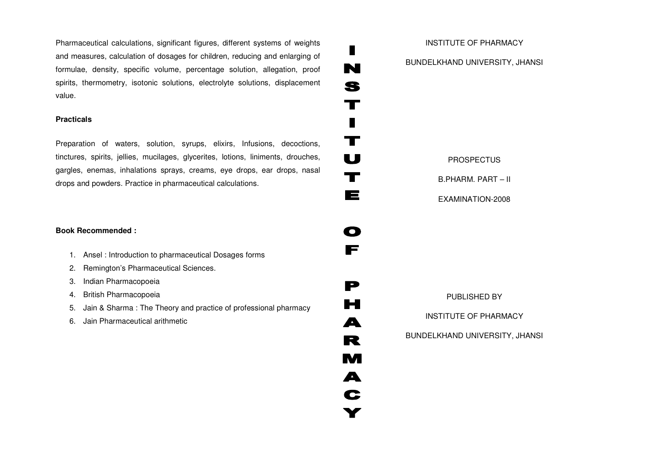Pharmaceutical calculations, significant figures, different systems of weights and measures, calculation of dosages for children, reducing and enlarging of formulae, density, specific volume, percentage solution, allegation, proof spirits, thermometry, isotonic solutions, electrolyte solutions, displacement value.

# **Practicals**

Preparation of waters, solution, syrups, elixirs, Infusions, decoctions, tinctures, spirits, jellies, mucilages, glycerites, lotions, liniments, drouches, gargles, enemas, inhalations sprays, creams, eye drops, ear drops, nasal drops and powders. Practice in pharmaceutical calculations.

# **Book Recommended :**

- 1. Ansel : Introduction to pharmaceutical Dosages forms
- 2. Remington's Pharmaceutical Sciences.
- 3. Indian Pharmacopoeia
- 4. British Pharmacopoeia
- 5. Jain & Sharma : The Theory and practice of professional pharmacy
- 6. Jain Pharmaceutical arithmetic

INSTITUTE OF PHARMACY BUNDELKHAND UNIVERSITY, JHANSI

П

N

S

 $\mathbf T$ 

 $\blacksquare$ 

 $\mathbf T$ 

 $\mathbf U$ 

 $\mathbf T$ 

 $\blacksquare$ 

O

F

P

 $\blacksquare$ 

 $\blacktriangle$ 

R

M

A

C

# PROSPECTUS

B.PHARM. PART – II

EXAMINATION-2008

PUBLISHED BY

INSTITUTE OF PHARMACY

BUNDELKHAND UNIVERSITY, JHANSI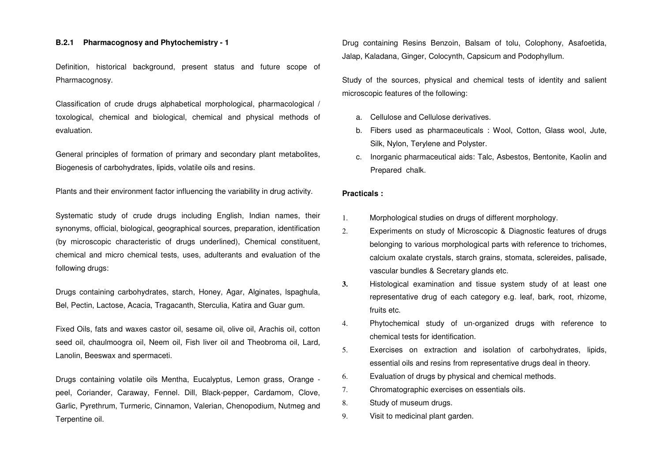#### **B.2.1 Pharmacognosy and Phytochemistry - 1**

Definition, historical background, present status and future scope of Pharmacognosy.

Classification of crude drugs alphabetical morphological, pharmacological / toxological, chemical and biological, chemical and physical methods of evaluation.

General principles of formation of primary and secondary plant metabolites, Biogenesis of carbohydrates, lipids, volatile oils and resins.

Plants and their environment factor influencing the variability in drug activity.

Systematic study of crude drugs including English, Indian names, their synonyms, official, biological, geographical sources, preparation, identification (by microscopic characteristic of drugs underlined), Chemical constituent, chemical and micro chemical tests, uses, adulterants and evaluation of the following drugs:

Drugs containing carbohydrates, starch, Honey, Agar, Alginates, lspaghula, Bel, Pectin, Lactose, Acacia, Tragacanth, Sterculia, Katira and Guar gum.

Fixed Oils, fats and waxes castor oil, sesame oil, olive oil, Arachis oil, cotton seed oil, chaulmoogra oil, Neem oil, Fish liver oil and Theobroma oil, Lard, Lanolin, Beeswax and spermaceti.

Drugs containing volatile oils Mentha, Eucalyptus, Lemon grass, Orange peel, Coriander, Caraway, Fennel. Dill, Black-pepper, Cardamom, Clove, Garlic, Pyrethrum, Turmeric, Cinnamon, Valerian, Chenopodium, Nutmeg and Terpentine oil.

Drug containing Resins Benzoin, Balsam of tolu, Colophony, Asafoetida, Jalap, Kaladana, Ginger, Colocynth, Capsicum and Podophyllum.

Study of the sources, physical and chemical tests of identity and salient microscopic features of the following:

- a. Cellulose and Cellulose derivatives.
- b. Fibers used as pharmaceuticals : Wool, Cotton, Glass wool, Jute, Silk, Nylon, Terylene and Polyster.
- c. Inorganic pharmaceutical aids: Talc, Asbestos, Bentonite, Kaolin and Prepared chalk.

#### **Practicals :**

- 1. Morphological studies on drugs of different morphology.
- 2. Experiments on study of Microscopic & Diagnostic features of drugs belonging to various morphological parts with reference to trichomes, calcium oxalate crystals, starch grains, stomata, sclereides, palisade, vascular bundles & Secretary glands etc.
- **3.** Histological examination and tissue system study of at least one representative drug of each category e.g. leaf, bark, root, rhizome, fruits etc.
- 4. Phytochemical study of un-organized drugs with reference to chemical tests for identification.
- 5. Exercises on extraction and isolation of carbohydrates, lipids, essential oils and resins from representative drugs deal in theory.
- 6. Evaluation of drugs by physical and chemical methods.
- 7. Chromatographic exercises on essentials oils.
- 8. Study of museum drugs.
- 9. Visit to medicinal plant garden.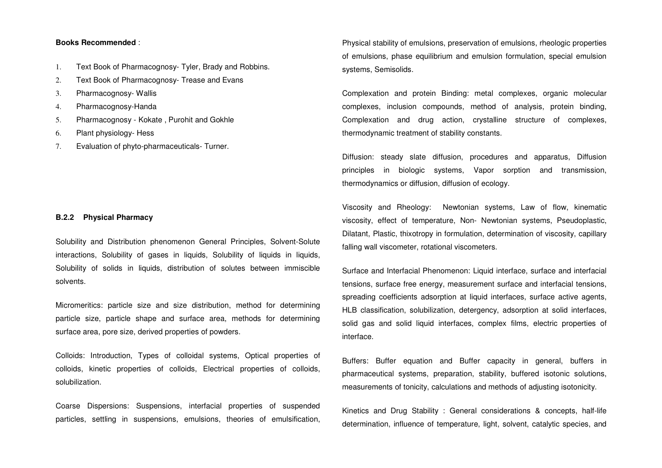## **Books Recommended** :

- 1. Text Book of Pharmacognosy- Tyler, Brady and Robbins.
- 2. Text Book of Pharmacognosy- Trease and Evans
- 3. Pharmacognosy- Wallis
- 4. Pharmacognosy-Handa
- 5. Pharmacognosy Kokate , Purohit and Gokhle
- 6. Plant physiology- Hess
- 7. Evaluation of phyto-pharmaceuticals- Turner.

#### **B.2.2 Physical Pharmacy**

Solubility and Distribution phenomenon General Principles, Solvent-Solute interactions, Solubility of gases in liquids, Solubility of liquids in liquids, Solubility of solids in liquids, distribution of solutes between immiscible solvents.

Micromeritics: particle size and size distribution, method for determining particle size, particle shape and surface area, methods for determining surface area, pore size, derived properties of powders.

Colloids: Introduction, Types of colloidal systems, Optical properties of colloids, kinetic properties of colloids, Electrical properties of colloids, solubilization.

Coarse Dispersions: Suspensions, interfacial properties of suspended particles, settling in suspensions, emulsions, theories of emulsification, Physical stability of emulsions, preservation of emulsions, rheologic properties of emulsions, phase equilibrium and emulsion formulation, special emulsion systems, Semisolids.

Complexation and protein Binding: metal complexes, organic molecular complexes, inclusion compounds, method of analysis, protein binding, Complexation and drug action, crystalline structure of complexes, thermodynamic treatment of stability constants.

Diffusion: steady slate diffusion, procedures and apparatus, Diffusion principles in biologic systems, Vapor sorption and transmission, thermodynamics or diffusion, diffusion of ecology.

Viscosity and Rheology: Newtonian systems, Law of flow, kinematic viscosity, effect of temperature, Non- Newtonian systems, Pseudoplastic, Dilatant, Plastic, thixotropy in formulation, determination of viscosity, capillary falling wall viscometer, rotational viscometers.

Surface and Interfacial Phenomenon: Liquid interface, surface and interfacial tensions, surface free energy, measurement surface and interfacial tensions, spreading coefficients adsorption at liquid interfaces, surface active agents, HLB classification, solubilization, detergency, adsorption at solid interfaces, solid gas and solid liquid interfaces, complex films, electric properties of interface.

Buffers: Buffer equation and Buffer capacity in general, buffers in pharmaceutical systems, preparation, stability, buffered isotonic solutions, measurements of tonicity, calculations and methods of adjusting isotonicity.

Kinetics and Drug Stability : General considerations & concepts, half-life determination, influence of temperature, light, solvent, catalytic species, and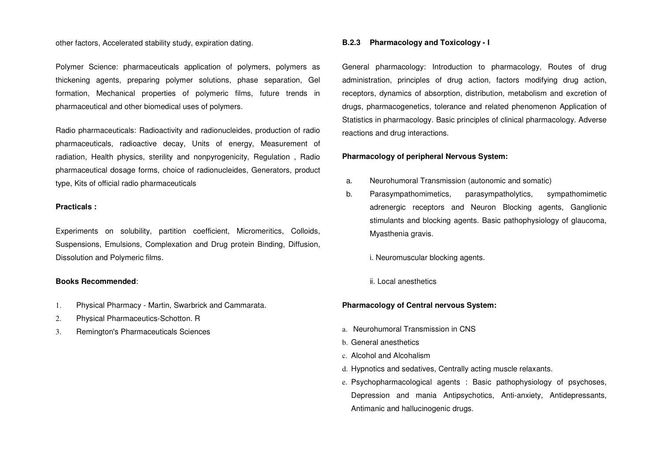#### other factors, Accelerated stability study, expiration dating.

Polymer Science: pharmaceuticals application of polymers, polymers as thickening agents, preparing polymer solutions, phase separation, Gel formation, Mechanical properties of polymeric films, future trends in pharmaceutical and other biomedical uses of polymers.

Radio pharmaceuticals: Radioactivity and radionucleides, production of radio pharmaceuticals, radioactive decay, Units of energy, Measurement of radiation, Health physics, sterility and nonpyrogenicity, Regulation , Radio pharmaceutical dosage forms, choice of radionucleides, Generators, product type, Kits of official radio pharmaceuticals

#### **Practicals :**

Experiments on solubility, partition coefficient, Micromeritics, Colloids, Suspensions, Emulsions, Complexation and Drug protein Binding, Diffusion, Dissolution and Polymeric films.

#### **Books Recommended**:

- 1. Physical Pharmacy Martin, Swarbrick and Cammarata.
- 2. Physical Pharmaceutics-Schotton. R
- 3. Remington's Pharmaceuticals Sciences

#### **B.2.3 Pharmacology and Toxicology - I**

General pharmacology: Introduction to pharmacology, Routes of drug administration, principles of drug action, factors modifying drug action, receptors, dynamics of absorption, distribution, metabolism and excretion of drugs, pharmacogenetics, tolerance and related phenomenon Application of Statistics in pharmacology. Basic principles of clinical pharmacology. Adverse reactions and drug interactions.

#### **Pharmacology of peripheral Nervous System:**

- a. Neurohumoral Transmission (autonomic and somatic)
- b. Parasympathomimetics, parasympatholytics, sympathomimetic adrenergic receptors and Neuron Blocking agents, Ganglionic stimulants and blocking agents. Basic pathophysiology of glaucoma, Myasthenia gravis.
	- i. Neuromuscular blocking agents.
	- ii. Local anesthetics

#### **Pharmacology of Central nervous System:**

- a. Neurohumoral Transmission in CNS
- b. General anesthetics
- c. Alcohol and Alcohalism
- d. Hypnotics and sedatives, Centrally acting muscle relaxants.
- e. Psychopharmacological agents : Basic pathophysiology of psychoses, Depression and mania Antipsychotics, Anti-anxiety, Antidepressants, Antimanic and hallucinogenic drugs.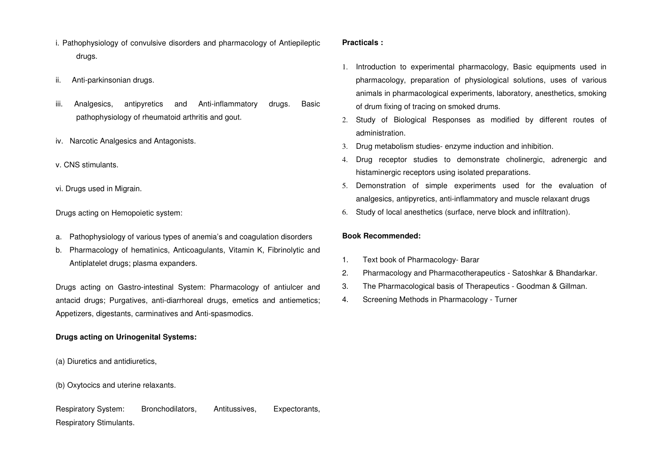- i. Pathophysiology of convulsive disorders and pharmacology of Antiepileptic drugs.
- ii. Anti-parkinsonian drugs.
- iii. Analgesics, antipyretics and Anti-inflammatory drugs. Basic pathophysiology of rheumatoid arthritis and gout.
- iv. Narcotic Analgesics and Antagonists.
- v. CNS stimulants.
- vi. Drugs used in Migrain.

Drugs acting on Hemopoietic system:

- a. Pathophysiology of various types of anemia's and coagulation disorders
- b. Pharmacology of hematinics, Anticoagulants, Vitamin K, Fibrinolytic and Antiplatelet drugs; plasma expanders.

Drugs acting on Gastro-intestinal System: Pharmacology of antiulcer and antacid drugs; Purgatives, anti-diarrhoreal drugs, emetics and antiemetics; Appetizers, digestants, carminatives and Anti-spasmodics.

# **Drugs acting on Urinogenital Systems:**

- (a) Diuretics and antidiuretics,
- (b) Oxytocics and uterine relaxants.

Respiratory System: Bronchodilators, Antitussives, Expectorants, Respiratory Stimulants.

# **Practicals :**

- 1. Introduction to experimental pharmacology, Basic equipments used in pharmacology, preparation of physiological solutions, uses of various animals in pharmacological experiments, laboratory, anesthetics, smoking of drum fixing of tracing on smoked drums.
- 2. Study of Biological Responses as modified by different routes of administration.
- 3. Drug metabolism studies- enzyme induction and inhibition.
- 4. Drug receptor studies to demonstrate cholinergic, adrenergic and histaminergic receptors using isolated preparations.
- 5. Demonstration of simple experiments used for the evaluation of analgesics, antipyretics, anti-inflammatory and muscle relaxant drugs
- 6. Study of local anesthetics (surface, nerve block and infiltration).

# **Book Recommended:**

- 1. Text book of Pharmacology- Barar
- 2. Pharmacology and Pharmacotherapeutics Satoshkar & Bhandarkar.
- 3. The Pharmacological basis of Therapeutics Goodman & Gillman.
- 4. Screening Methods in Pharmacology Turner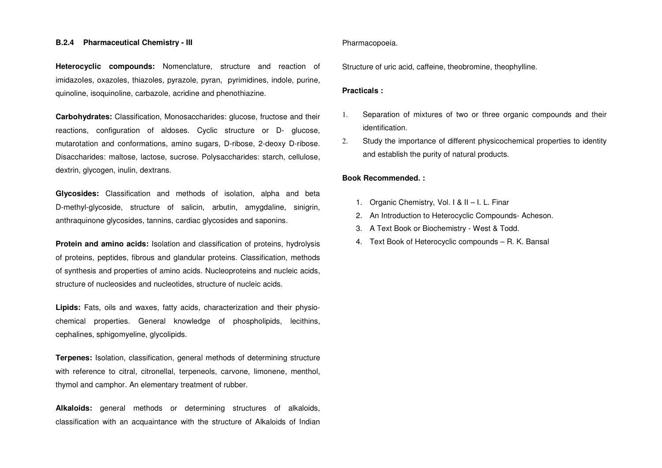#### **B.2.4 Pharmaceutical Chemistry - III**

**Heterocyclic compounds:** Nomenclature, structure and reaction of imidazoles, oxazoles, thiazoles, pyrazole, pyran, pyrimidines, indole, purine, quinoline, isoquinoline, carbazole, acridine and phenothiazine.

**Carbohydrates:** Classification, Monosaccharides: glucose, fructose and their reactions, configuration of aldoses. Cyclic structure or D- glucose, mutarotation and conformations, amino sugars, D-ribose, 2-deoxy D-ribose. Disaccharides: maltose, lactose, sucrose. Polysaccharides: starch, cellulose, dextrin, glycogen, inulin, dextrans.

**Glycosides:** Classification and methods of isolation, alpha and beta D-methyl-glycoside, structure of salicin, arbutin, amygdaline, sinigrin, anthraquinone glycosides, tannins, cardiac glycosides and saponins.

**Protein and amino acids:** Isolation and classification of proteins, hydrolysis of proteins, peptides, fibrous and glandular proteins. Classification, methods of synthesis and properties of amino acids. Nucleoproteins and nucleic acids, structure of nucleosides and nucleotides, structure of nucleic acids.

**Lipids:** Fats, oils and waxes, fatty acids, characterization and their physiochemical properties. General knowledge of phospholipids, lecithins, cephalines, sphigomyeline, glycolipids.

**Terpenes:** Isolation, classification, general methods of determining structure with reference to citral, citronellal, terpeneols, carvone, limonene, menthol, thymol and camphor. An elementary treatment of rubber.

**Alkaloids:** general methods or determining structures of alkaloids, classification with an acquaintance with the structure of Alkaloids of Indian

#### Pharmacopoeia.

Structure of uric acid, caffeine, theobromine, theophylline.

#### **Practicals :**

- 1. Separation of mixtures of two or three organic compounds and their identification.
- 2. Study the importance of different physicochemical properties to identity and establish the purity of natural products.

#### **Book Recommended. :**

- 1. Organic Chemistry, Vol. I & II I. L. Finar
- 2. An Introduction to Heterocyclic Compounds- Acheson.
- 3. A Text Book or Biochemistry West & Todd.
- 4. Text Book of Heterocyclic compounds R. K. Bansal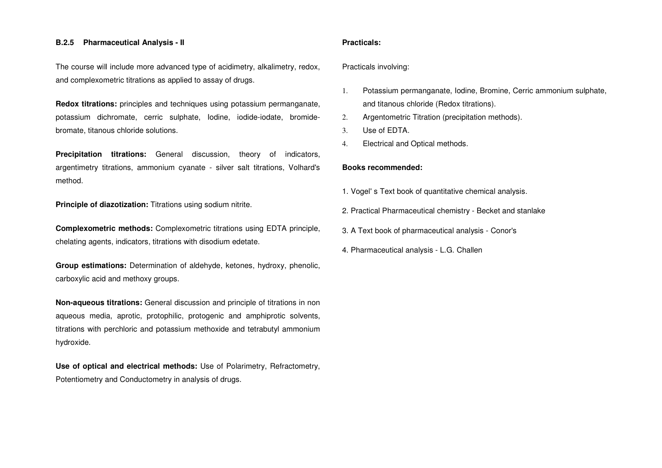#### **B.2.5 Pharmaceutical Analysis - II**

The course will include more advanced type of acidimetry, alkalimetry, redox, and complexometric titrations as applied to assay of drugs.

**Redox titrations:** principles and techniques using potassium permanganate, potassium dichromate, cerric sulphate, Iodine, iodide-iodate, bromidebromate, titanous chloride solutions.

**Precipitation titrations:** General discussion, theory of indicators, argentimetry titrations, ammonium cyanate - silver salt titrations, Volhard's method.

**Principle of diazotization:** Titrations using sodium nitrite.

**Complexometric methods:** Complexometric titrations using EDTA principle, chelating agents, indicators, titrations with disodium edetate.

**Group estimations:** Determination of aldehyde, ketones, hydroxy, phenolic, carboxylic acid and methoxy groups.

**Non-aqueous titrations:** General discussion and principle of titrations in non aqueous media, aprotic, protophilic, protogenic and amphiprotic solvents, titrations with perchloric and potassium methoxide and tetrabutyl ammonium hydroxide.

**Use of optical and electrical methods:** Use of Polarimetry, Refractometry, Potentiometry and Conductometry in analysis of drugs.

#### **Practicals:**

Practicals involving:

- 1. Potassium permanganate, Iodine, Bromine, Cerric ammonium sulphate, and titanous chloride (Redox titrations).
- 2. Argentometric Titration (precipitation methods).
- 3. Use of EDTA.
- 4. Electrical and Optical methods.

#### **Books recommended:**

- 1. Vogel' s Text book of quantitative chemical analysis.
- 2. Practical Pharmaceutical chemistry Becket and stanlake
- 3. A Text book of pharmaceutical analysis Conor's
- 4. Pharmaceutical analysis L.G. Challen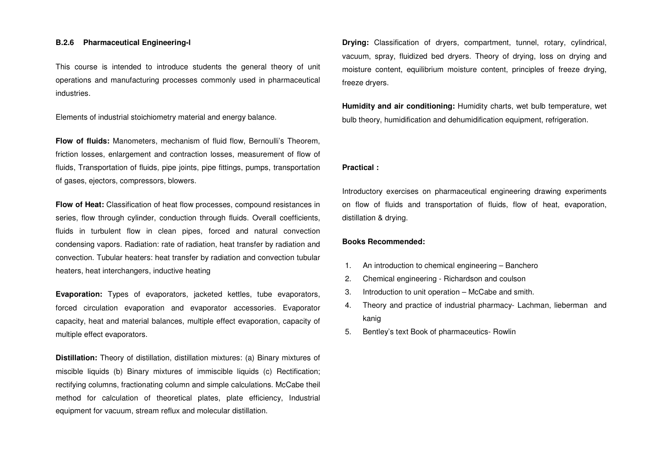#### **B.2.6 Pharmaceutical Engineering-l**

This course is intended to introduce students the general theory of unit operations and manufacturing processes commonly used in pharmaceutical industries.

Elements of industrial stoichiometry material and energy balance.

**Flow of fluids:** Manometers, mechanism of fluid flow, Bernoulli's Theorem, friction losses, enlargement and contraction losses, measurement of flow of fluids, Transportation of fluids, pipe joints, pipe fittings, pumps, transportation of gases, ejectors, compressors, blowers.

**Flow of Heat:** Classification of heat flow processes, compound resistances in series, flow through cylinder, conduction through fluids. Overall coefficients, fluids in turbulent flow in clean pipes, forced and natural convection condensing vapors. Radiation: rate of radiation, heat transfer by radiation and convection. Tubular heaters: heat transfer by radiation and convection tubular heaters, heat interchangers, inductive heating

**Evaporation:** Types of evaporators, jacketed kettles, tube evaporators, forced circulation evaporation and evaporator accessories. Evaporator capacity, heat and material balances, multiple effect evaporation, capacity of multiple effect evaporators.

**Distillation:** Theory of distillation, distillation mixtures: (a) Binary mixtures of miscible liquids (b) Binary mixtures of immiscible liquids (c) Rectification; rectifying columns, fractionating column and simple calculations. McCabe theil method for calculation of theoretical plates, plate efficiency, Industrial equipment for vacuum, stream reflux and molecular distillation.

**Drying:** Classification of dryers, compartment, tunnel, rotary, cylindrical, vacuum, spray, fluidized bed dryers. Theory of drying, loss on drying and moisture content, equilibrium moisture content, principles of freeze drying, freeze dryers.

**Humidity and air conditioning:** Humidity charts, wet bulb temperature, wet bulb theory, humidification and dehumidification equipment, refrigeration.

#### **Practical :**

Introductory exercises on pharmaceutical engineering drawing experiments on flow of fluids and transportation of fluids, flow of heat, evaporation, distillation & drying.

#### **Books Recommended:**

- 1. An introduction to chemical engineering Banchero
- 2. Chemical engineering Richardson and coulson
- 3. Introduction to unit operation McCabe and smith.
- 4. Theory and practice of industrial pharmacy- Lachman, lieberman and kanig
- 5. Bentley's text Book of pharmaceutics- Rowlin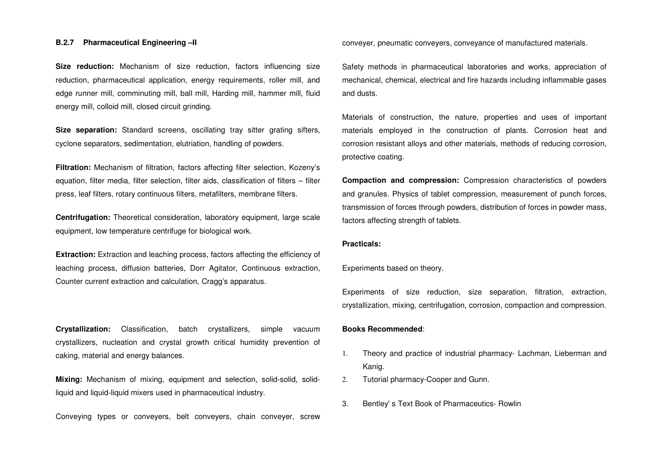#### **B.2.7Pharmaceutical Engineering –II**

**Size reduction:** Mechanism of size reduction, factors influencing size reduction, pharmaceutical application, energy requirements, roller mill, and edge runner mill, comminuting mill, ball mill, Harding mill, hammer mill, fluid energy mill, colloid mill, closed circuit grinding.

**Size separation:** Standard screens, oscillating tray sitter grating sifters, cyclone separators, sedimentation, elutriation, handling of powders.

**Filtration:** Mechanism of filtration, factors affecting filter selection, Kozeny's equation, filter media, filter selection, filter aids, classification of filters – filter press, leaf filters, rotary continuous filters, metafilters, membrane filters.

**Centrifugation:** Theoretical consideration, laboratory equipment, large scale equipment, low temperature centrifuge for biological work.

**Extraction:** Extraction and leaching process, factors affecting the efficiency of leaching process, diffusion batteries, Dorr Agitator, Continuous extraction, Counter current extraction and calculation, Cragg's apparatus.

**Crystallization:** Classification, batch crystallizers, simple vacuumcrystallizers, nucleation and crystal growth critical humidity prevention of caking, material and energy balances.

**Mixing:** Mechanism of mixing, equipment and selection, solid-solid, solidliquid and liquid-liquid mixers used in pharmaceutical industry.

Conveying types or conveyers, belt conveyers, chain conveyer, screw

conveyer, pneumatic conveyers, conveyance of manufactured materials.

Safety methods in pharmaceutical laboratories and works, appreciation of mechanical, chemical, electrical and fire hazards including inflammable gases and dusts.

Materials of construction, the nature, properties and uses of important materials employed in the construction of plants. Corrosion heat and corrosion resistant alloys and other materials, methods of reducing corrosion, protective coating.

**Compaction and compression:** Compression characteristics of powders and granules. Physics of tablet compression, measurement of punch forces, transmission of forces through powders, distribution of forces in powder mass, factors affecting strength of tablets.

#### **Practicals:**

Experiments based on theory.

Experiments of size reduction, size separation, filtration, extraction, crystallization, mixing, centrifugation, corrosion, compaction and compression.

#### **Books Recommended**:

- 1. Theory and practice of industrial pharmacy- Lachman, Lieberman and Kanig.
- 2. Tutorial pharmacy-Cooper and Gunn.
- 3. Bentley' s Text Book of Pharmaceutics- Rowlin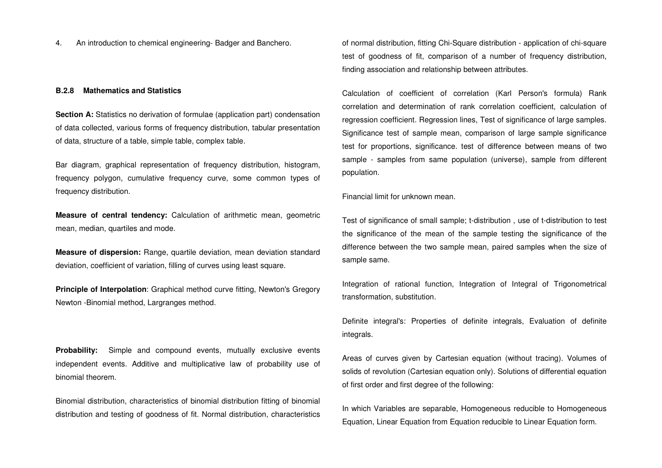4. An introduction to chemical engineering- Badger and Banchero.

#### **B.2.8 Mathematics and Statistics**

**Section A:** Statistics no derivation of formulae (application part) condensation of data collected, various forms of frequency distribution, tabular presentation of data, structure of a table, simple table, complex table.

Bar diagram, graphical representation of frequency distribution, histogram, frequency polygon, cumulative frequency curve, some common types of frequency distribution.

**Measure of central tendency:** Calculation of arithmetic mean, geometric mean, median, quartiles and mode.

**Measure of dispersion:** Range, quartile deviation, mean deviation standarddeviation, coefficient of variation, filling of curves using least square.

**Principle of Interpolation:** Graphical method curve fitting, Newton's Gregory Newton -Binomial method, Largranges method.

**Probability:** Simple and compound events, mutually exclusive events independent events. Additive and multiplicative law of probability use of binomial theorem.

Binomial distribution, characteristics of binomial distribution fitting of binomial distribution and testing of goodness of fit. Normal distribution, characteristics of normal distribution, fitting Chi-Square distribution - application of chi-square test of goodness of fit, comparison of a number of frequency distribution, finding association and relationship between attributes.

Calculation of coefficient of correlation (Karl Person's formula) Rank correlation and determination of rank correlation coefficient, calculation of regression coefficient. Regression lines, Test of significance of large samples. Significance test of sample mean, comparison of large sample significance test for proportions, significance. test of difference between means of two sample - samples from same population (universe), sample from different population.

Financial limit for unknown mean.

Test of significance of small sample; t-distribution , use of t-distribution to test the significance of the mean of the sample testing the significance of the difference between the two sample mean, paired samples when the size of sample same.

Integration of rational function, Integration of Integral of Trigonometrical transformation, substitution.

Definite integral's: Properties of definite integrals, Evaluation of definite integrals.

Areas of curves given by Cartesian equation (without tracing). Volumes of solids of revolution (Cartesian equation only). Solutions of differential equation of first order and first degree of the following:

In which Variables are separable, Homogeneous reducible to Homogeneous Equation, Linear Equation from Equation reducible to Linear Equation form.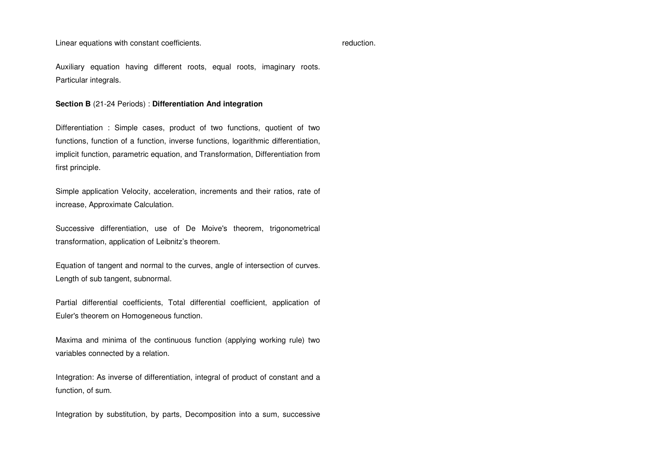Linear equations with constant coefficients.

reduction.

Auxiliary equation having different roots, equal roots, imaginary roots. Particular integrals.

**Section B** (21-24 Periods) : **Differentiation And integration** 

Differentiation : Simple cases, product of two functions, quotient of two functions, function of a function, inverse functions, logarithmic differentiation, implicit function, parametric equation, and Transformation, Differentiation from first principle.

Simple application Velocity, acceleration, increments and their ratios, rate of increase, Approximate Calculation.

Successive differentiation, use of De Moive's theorem, trigonometrical transformation, application of Leibnitz's theorem.

Equation of tangent and normal to the curves, angle of intersection of curves. Length of sub tangent, subnormal.

Partial differential coefficients, Total differential coefficient, application of Euler's theorem on Homogeneous function.

Maxima and minima of the continuous function (applying working rule) two variables connected by a relation.

Integration: As inverse of differentiation, integral of product of constant and a function, of sum.

Integration by substitution, by parts, Decomposition into a sum, successive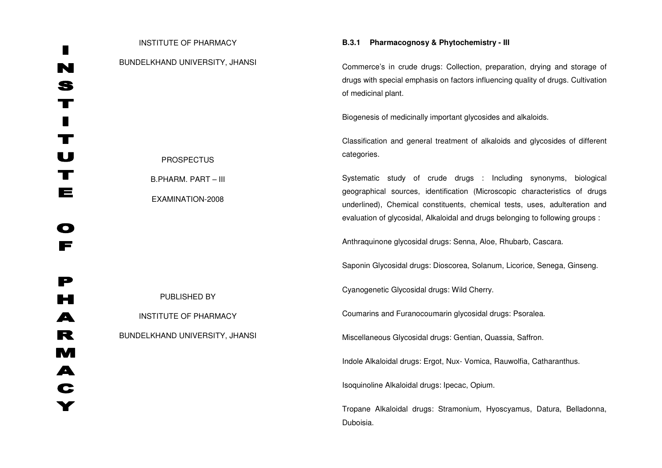| <b>INSTITUTE OF PHARMACY</b>                   | B.3.1<br>Pharmacognosy & Phytochemistry - III                                                                                                                                                                                                                                                                  |
|------------------------------------------------|----------------------------------------------------------------------------------------------------------------------------------------------------------------------------------------------------------------------------------------------------------------------------------------------------------------|
| BUNDELKHAND UNIVERSITY, JHANSI                 | Commerce's in crude drugs: Collection, preparation, drying and storage of<br>drugs with special emphasis on factors influencing quality of drugs. Cultivation<br>of medicinal plant.                                                                                                                           |
|                                                | Biogenesis of medicinally important glycosides and alkaloids.                                                                                                                                                                                                                                                  |
| <b>PROSPECTUS</b>                              | Classification and general treatment of alkaloids and glycosides of different<br>categories.                                                                                                                                                                                                                   |
| <b>B.PHARM. PART - III</b><br>EXAMINATION-2008 | Systematic study of crude drugs : Including synonyms, biological<br>geographical sources, identification (Microscopic characteristics of drugs<br>underlined), Chemical constituents, chemical tests, uses, adulteration and<br>evaluation of glycosidal, Alkaloidal and drugs belonging to following groups : |
|                                                | Anthraquinone glycosidal drugs: Senna, Aloe, Rhubarb, Cascara.                                                                                                                                                                                                                                                 |
|                                                | Saponin Glycosidal drugs: Dioscorea, Solanum, Licorice, Senega, Ginseng.                                                                                                                                                                                                                                       |
| PUBLISHED BY                                   | Cyanogenetic Glycosidal drugs: Wild Cherry.                                                                                                                                                                                                                                                                    |
| <b>INSTITUTE OF PHARMACY</b>                   | Coumarins and Furanocoumarin glycosidal drugs: Psoralea.                                                                                                                                                                                                                                                       |
| BUNDELKHAND UNIVERSITY, JHANSI                 | Miscellaneous Glycosidal drugs: Gentian, Quassia, Saffron.                                                                                                                                                                                                                                                     |
|                                                | Indole Alkaloidal drugs: Ergot, Nux- Vomica, Rauwolfia, Catharanthus.                                                                                                                                                                                                                                          |
|                                                | Isoquinoline Alkaloidal drugs: Ipecac, Opium.                                                                                                                                                                                                                                                                  |
|                                                | Tropane Alkaloidal drugs: Stramonium, Hyoscyamus, Datura, Belladonna,<br>Duboisia.                                                                                                                                                                                                                             |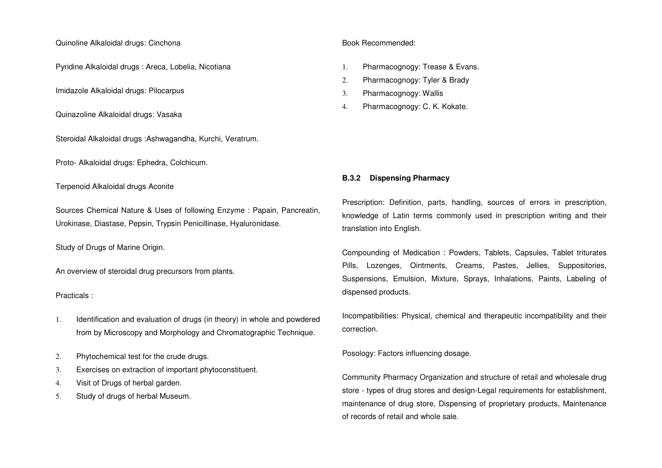#### Quinoline Alkaloidal drugs: Cinchona

Pyridine Alkaloidal drugs : Areca, Lobelia, Nicotiana

Imidazole Alkaloidal drugs: Pilocarpus

Quinazoline Alkaloidal drugs: Vasaka

Steroidal Alkaloidal drugs :Ashwagandha, Kurchi, Veratrum.

Proto- Alkaloidal drugs: Ephedra, Colchicum.

# Terpenoid Alkaloidal drugs Aconite

Sources Chemical Nature & Uses of following Enzyme : Papain, Pancreatin, Urokinase, Diastase, Pepsin, Trypsin Penicillinase, Hyaluronidase.

Study of Drugs of Marine Origin.

An overview of steroidal drug precursors from plants.

Practicals :

- 1. Identification and evaluation of drugs (in theory) in whole and powdered from by Microscopy and Morphology and Chromatographic Technique.
- 2. Phytochemical test for the crude drugs.
- 3. Exercises on extraction of important phytoconstituent.
- 4. Visit of Drugs of herbal garden.
- 5. Study of drugs of herbal Museum.

# Book Recommended:

- 1. Pharmacognogy: Trease & Evans.
- 2. Pharmacognogy: Tyler & Brady
- 3. Pharmacognogy: Wallis
- 4. Pharmacognogy: C. K. Kokate.

## **B.3.2 Dispensing Pharmacy**

Prescription: Definition, parts, handling, sources of errors in prescription, knowledge of Latin terms commonly used in prescription writing and their translation into English.

Compounding of Medication : Powders, Tablets, Capsules, Tablet triturates Pills, Lozenges, Ointments, Creams, Pastes, Jellies, Suppositories, Suspensions, Emulsion, Mixture, Sprays, Inhalations, Paints, Labeling of dispensed products.

Incompatibilities: Physical, chemical and therapeutic incompatibility and their correction.

Posology: Factors influencing dosage.

Community Pharmacy Organization and structure of retail and wholesale drug store - types of drug stores and design-Legal requirements for establishment, maintenance of drug store, Dispensing of proprietary products, Maintenance of records of retail and whole sale.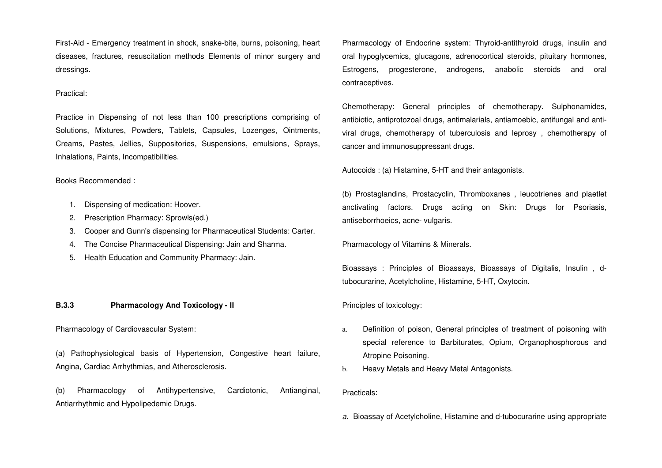First-Aid - Emergency treatment in shock, snake-bite, burns, poisoning, heart diseases, fractures, resuscitation methods Elements of minor surgery and dressings.

#### Practical:

Practice in Dispensing of not less than 100 prescriptions comprising of Solutions, Mixtures, Powders, Tablets, Capsules, Lozenges, Ointments, Creams, Pastes, Jellies, Suppositories, Suspensions, emulsions, Sprays, Inhalations, Paints, Incompatibilities.

# Books Recommended :

- 1. Dispensing of medication: Hoover.
- 2. Prescription Pharmacy: Sprowls(ed.)
- 3. Cooper and Gunn's dispensing for Pharmaceutical Students: Carter.
- 4. The Concise Pharmaceutical Dispensing: Jain and Sharma.
- 5. Health Education and Community Pharmacy: Jain.

#### **B.3.3 Pharmacology And Toxicology - II**

#### Pharmacology of Cardiovascular System:

(a) Pathophysiological basis of Hypertension, Congestive heart failure, Angina, Cardiac Arrhythmias, and Atherosclerosis.

(b) Pharmacology of Antihypertensive, Cardiotonic, Antianginal, Antiarrhythmic and Hypolipedemic Drugs.

Pharmacology of Endocrine system: Thyroid-antithyroid drugs, insulin and oral hypoglycemics, glucagons, adrenocortical steroids, pituitary hormones, Estrogens, progesterone, androgens, anabolic steroids and oral contraceptives.

Chemotherapy: General principles of chemotherapy. Sulphonamides, antibiotic, antiprotozoal drugs, antimalarials, antiamoebic, antifungal and antiviral drugs, chemotherapy of tuberculosis and leprosy , chemotherapy of cancer and immunosuppressant drugs.

Autocoids : (a) Histamine, 5-HT and their antagonists.

(b) Prostaglandins, Prostacyclin, Thromboxanes , leucotrienes and plaetlet anctivating factors. Drugs acting on Skin: Drugs for Psoriasis, antiseborrhoeics, acne- vulgaris.

Pharmacology of Vitamins & Minerals.

Bioassays : Principles of Bioassays, Bioassays of Digitalis, Insulin , dtubocurarine, Acetylcholine, Histamine, 5-HT, Oxytocin.

#### Principles of toxicology:

- a. Definition of poison, General principles of treatment of poisoning with special reference to Barbiturates, Opium, Organophosphorous and Atropine Poisoning.
- b. Heavy Metals and Heavy Metal Antagonists.

#### Practicals:

a. Bioassay of Acetylcholine, Histamine and d-tubocurarine using appropriate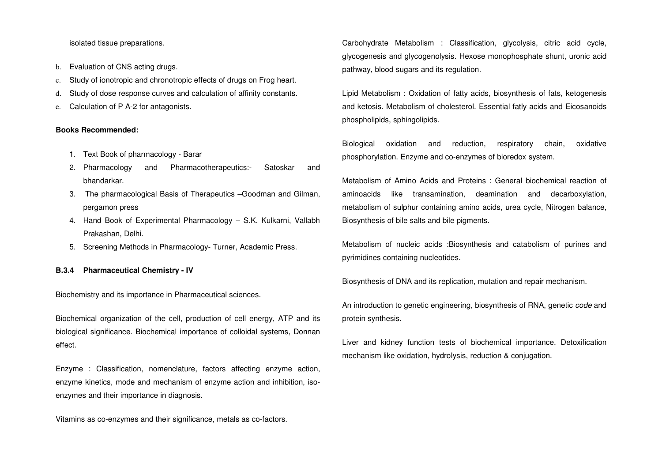isolated tissue preparations.

- b. Evaluation of CNS acting drugs.
- c. Study of ionotropic and chronotropic effects of drugs on Frog heart.
- d. Study of dose response curves and calculation of affinity constants.
- e. Calculation of P A-2 for antagonists.

#### **Books Recommended:**

- 1. Text Book of pharmacology Barar
- 2. Pharmacology and Pharmacotherapeutics:- Satoskar and bhandarkar.
- 3. The pharmacological Basis of Therapeutics –Goodman and Gilman, pergamon press
- 4. Hand Book of Experimental Pharmacology S.K. Kulkarni, Vallabh Prakashan, Delhi.
- 5. Screening Methods in Pharmacology- Turner, Academic Press.

#### **B.3.4 Pharmaceutical Chemistry - IV**

Biochemistry and its importance in Pharmaceutical sciences.

Biochemical organization of the cell, production of cell energy, ATP and its biological significance. Biochemical importance of colloidal systems, Donnan effect.

Enzyme : Classification, nomenclature, factors affecting enzyme action, enzyme kinetics, mode and mechanism of enzyme action and inhibition, isoenzymes and their importance in diagnosis.

Vitamins as co-enzymes and their significance, metals as co-factors.

Carbohydrate Metabolism : Classification, glycolysis, citric acid cycle, glycogenesis and glycogenolysis. Hexose monophosphate shunt, uronic acid pathway, blood sugars and its regulation.

Lipid Metabolism : Oxidation of fatty acids, biosynthesis of fats, ketogenesis and ketosis. Metabolism of cholesterol. Essential fatly acids and Eicosanoids phospholipids, sphingolipids.

Biological oxidation and reduction, respiratory chain, oxidative phosphorylation. Enzyme and co-enzymes of bioredox system.

Metabolism of Amino Acids and Proteins : General biochemical reaction of aminoacids like transamination, deamination and decarboxylation, metabolism of sulphur containing amino acids, urea cycle, Nitrogen balance, Biosynthesis of bile salts and bile pigments.

Metabolism of nucleic acids :Biosynthesis and catabolism of purines and pyrimidines containing nucleotides.

Biosynthesis of DNA and its replication, mutation and repair mechanism.

An introduction to genetic engineering, biosynthesis of RNA, genetic code and protein synthesis.

Liver and kidney function tests of biochemical importance. Detoxification mechanism like oxidation, hydrolysis, reduction & conjugation.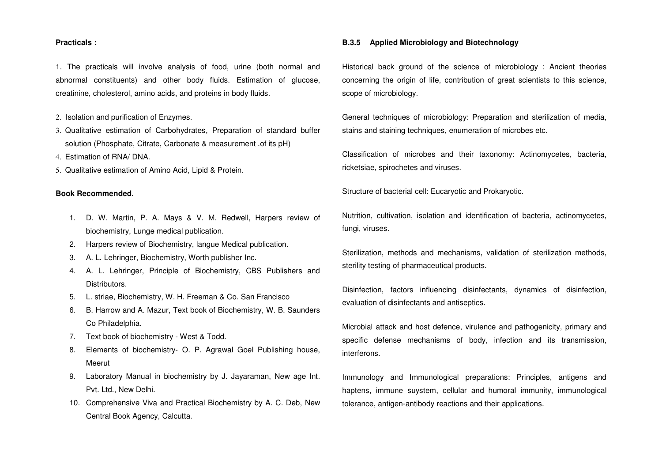#### **Practicals :**

1. The practicals will involve analysis of food, urine (both normal and abnormal constituents) and other body fluids. Estimation of glucose, creatinine, cholesterol, amino acids, and proteins in body fluids.

- 2. Isolation and purification of Enzymes.
- 3. Qualitative estimation of Carbohydrates, Preparation of standard buffer solution (Phosphate, Citrate, Carbonate & measurement .of its pH)
- 4. Estimation of RNA/ DNA.
- 5. Qualitative estimation of Amino Acid, Lipid & Protein.

#### **Book Recommended.**

- 1. D. W. Martin, P. A. Mays & V. M. Redwell, Harpers review of biochemistry, Lunge medical publication.
- 2. Harpers review of Biochemistry, langue Medical publication.
- 3. A. L. Lehringer, Biochemistry, Worth publisher Inc.
- 4. A. L. Lehringer, Principle of Biochemistry, CBS Publishers and Distributors.
- 5. L. striae, Biochemistry, W. H. Freeman & Co. San Francisco
- 6. B. Harrow and A. Mazur, Text book of Biochemistry, W. B. Saunders Co Philadelphia.
- 7. Text book of biochemistry West & Todd.
- 8. Elements of biochemistry- O. P. Agrawal Goel Publishing house, Meerut
- 9. Laboratory Manual in biochemistry by J. Jayaraman, New age Int. Pvt. Ltd., New Delhi.
- 10. Comprehensive Viva and Practical Biochemistry by A. C. Deb, New Central Book Agency, Calcutta.

#### **B.3.5 Applied Microbiology and Biotechnology**

Historical back ground of the science of microbiology : Ancient theories concerning the origin of life, contribution of great scientists to this science, scope of microbiology.

General techniques of microbiology: Preparation and sterilization of media, stains and staining techniques, enumeration of microbes etc.

Classification of microbes and their taxonomy: Actinomycetes, bacteria, ricketsiae, spirochetes and viruses.

Structure of bacterial cell: Eucaryotic and Prokaryotic.

Nutrition, cultivation, isolation and identification of bacteria, actinomycetes, fungi, viruses.

Sterilization, methods and mechanisms, validation of sterilization methods, sterility testing of pharmaceutical products.

Disinfection, factors influencing disinfectants, dynamics of disinfection, evaluation of disinfectants and antiseptics.

Microbial attack and host defence, virulence and pathogenicity, primary and specific defense mechanisms of body, infection and its transmission, interferons.

Immunology and Immunological preparations: Principles, antigens and haptens, immune suystem, cellular and humoral immunity, immunological tolerance, antigen-antibody reactions and their applications.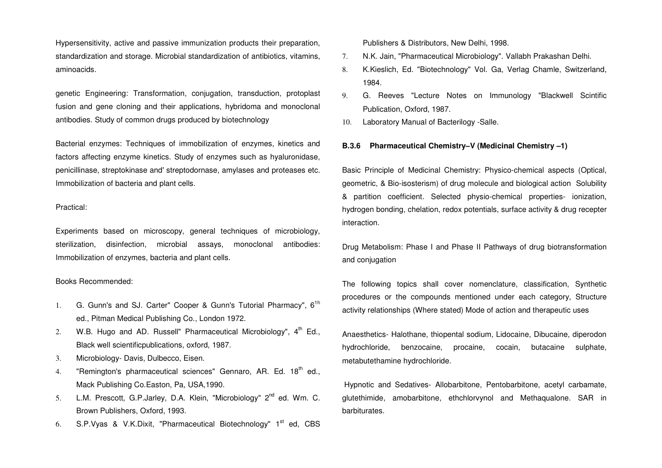Hypersensitivity, active and passive immunization products their preparation, standardization and storage. Microbial standardization of antibiotics, vitamins, aminoacids.

genetic Engineering: Transformation, conjugation, transduction, protoplast fusion and gene cloning and their applications, hybridoma and monoclonal antibodies. Study of common drugs produced by biotechnology

Bacterial enzymes: Techniques of immobilization of enzymes, kinetics and factors affecting enzyme kinetics. Study of enzymes such as hyaluronidase, penicillinase, streptokinase and' streptodornase, amylases and proteases etc. Immobilization of bacteria and plant cells.

#### Practical:

Experiments based on microscopy, general techniques of microbiology, sterilization, disinfection, microbial assays, monoclonal antibodies: Immobilization of enzymes, bacteria and plant cells.

### Books Recommended:

- 1. G. Gunn's and SJ. Carter" Cooper & Gunn's Tutorial Pharmacy", 6<sup>1h</sup> ed., Pitman Medical Publishing Co., London 1972.
- 2. W.B. Hugo and AD. Russell" Pharmaceutical Microbiology",  $4<sup>th</sup>$  Ed., Black well scientificpublications, oxford, 1987.
- 3. Microbiology- Davis, Dulbecco, Eisen.
- 4. "Remington's pharmaceutical sciences" Gennaro, AR. Ed. 18<sup>th</sup> ed., Mack Publishing Co.Easton, Pa, USA,1990.
- 5. L.M. Prescott, G.P.Jarley, D.A. Klein, "Microbiology" 2<sup>nd</sup> ed. Wm. C. Brown Publishers, Oxford, 1993.
- 6. S.P. Vyas & V.K. Dixit, "Pharmaceutical Biotechnology"  $1<sup>st</sup>$  ed, CBS

Publishers & Distributors, New Delhi, 1998.

- 7. N.K. Jain, "Pharmaceutical Microbiology". Vallabh Prakashan Delhi.
- 8. K.Kieslich, Ed. "Biotechnology" Vol. Ga, Verlag Chamle, Switzerland, 1984.
- 9. G. Reeves "Lecture Notes on Immunology "Blackwell Scintific Publication, Oxford, 1987.
- 10. Laboratory Manual of Bacterilogy -Salle.

#### **B.3.6 Pharmaceutical Chemistry–V (Medicinal Chemistry –1)**

Basic Principle of Medicinal Chemistry: Physico-chemical aspects (Optical, geometric, & Bio-isosterism) of drug molecule and biological action Solubility & partition coefficient. Selected physio-chemical properties- ionization, hydrogen bonding, chelation, redox potentials, surface activity & drug recepter interaction.

Drug Metabolism: Phase I and Phase II Pathways of drug biotransformation and conjugation

The following topics shall cover nomenclature, classification, Synthetic procedures or the compounds mentioned under each category, Structure activity relationships (Where stated) Mode of action and therapeutic uses

Anaesthetics- Halothane, thiopental sodium, Lidocaine, Dibucaine, diperodon hydrochloride, benzocaine, procaine, cocain, butacaine sulphate, metabutethamine hydrochloride.

 Hypnotic and Sedatives- Allobarbitone, Pentobarbitone, acetyl carbamate, glutethimide, amobarbitone, ethchlorvynol and Methaqualone. SAR in barbiturates.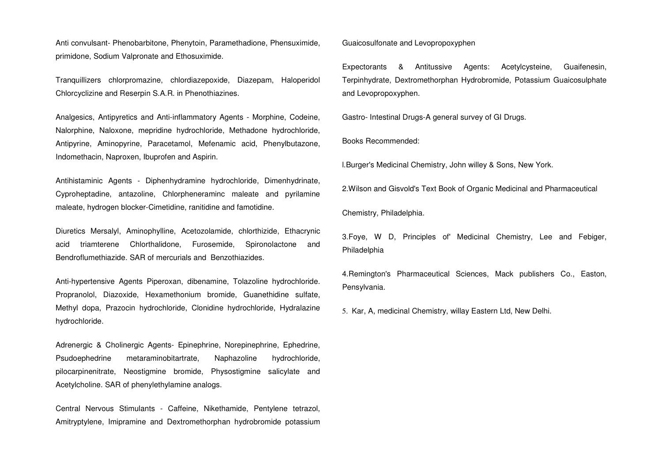Anti convulsant- Phenobarbitone, Phenytoin, Paramethadione, Phensuximide, primidone, Sodium Valpronate and Ethosuximide.

Tranquillizers chlorpromazine, chlordiazepoxide, Diazepam, Haloperidol Chlorcyclizine and Reserpin S.A.R. in Phenothiazines.

Analgesics, Antipyretics and Anti-inflammatory Agents - Morphine, Codeine, Nalorphine, Naloxone, mepridine hydrochloride, Methadone hydrochloride, Antipyrine, Aminopyrine, Paracetamol, Mefenamic acid, Phenylbutazone, Indomethacin, Naproxen, Ibuprofen and Aspirin.

Antihistaminic Agents - Diphenhydramine hydrochloride, Dimenhydrinate, Cyproheptadine, antazoline, Chlorpheneraminc maleate and pyrilamine maleate, hydrogen blocker-Cimetidine, ranitidine and famotidine.

Diuretics Mersalyl, Aminophylline, Acetozolamide, chlorthizide, Ethacrynic acid triamterene Chlorthalidone, Furosemide, Spironolactone and Bendroflumethiazide. SAR of mercurials and Benzothiazides.

Anti-hypertensive Agents Piperoxan, dibenamine, Tolazoline hydrochloride. Propranolol, Diazoxide, Hexamethonium bromide, Guanethidine sulfate, Methyl dopa, Prazocin hydrochloride, Clonidine hydrochloride, Hydralazine hydrochloride.

Adrenergic & Cholinergic Agents- Epinephrine, Norepinephrine, Ephedrine, Psudoephedrine metaraminobitartrate, Naphazoline hydrochloride, pilocarpinenitrate, Neostigmine bromide, Physostigmine salicylate and Acetylcholine. SAR of phenylethylamine analogs.

Central Nervous Stimulants - Caffeine, Nikethamide, Pentylene tetrazol, Amitryptylene, Imipramine and Dextromethorphan hydrobromide potassium Guaicosulfonate and Levopropoxyphen

Expectorants & Antitussive Agents: Acetylcysteine, Guaifenesin, Terpinhydrate, Dextromethorphan Hydrobromide, Potassium Guaicosulphate and Levopropoxyphen.

Gastro- Intestinal Drugs-A general survey of GI Drugs.

Books Recommended:

l.Burger's Medicinal Chemistry, John willey & Sons, New York.

2.Wilson and Gisvold's Text Book of Organic Medicinal and Pharmaceutical

Chemistry, Philadelphia.

3.Foye, W D, Principles of' Medicinal Chemistry, Lee and Febiger, Philadelphia

4.Remington's Pharmaceutical Sciences, Mack publishers Co., Easton, Pensylvania.

5. Kar, A, medicinal Chemistry, willay Eastern Ltd, New Delhi.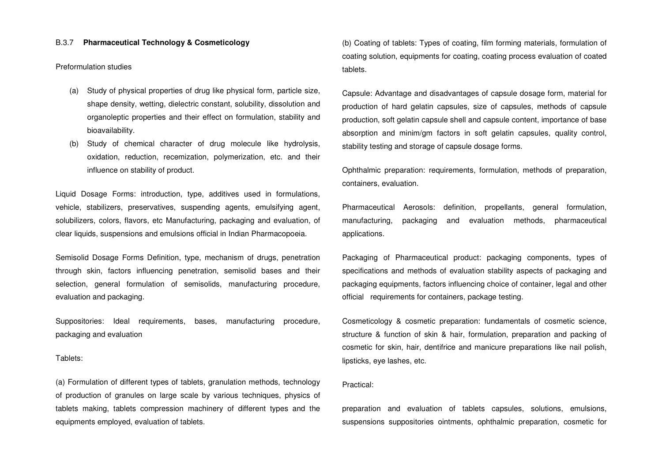#### B.3.7 **Pharmaceutical Technology & Cosmeticology**

Preformulation studies

- (a) Study of physical properties of drug like physical form, particle size, shape density, wetting, dielectric constant, solubility, dissolution and organoleptic properties and their effect on formulation, stability and bioavailability.
- (b) Study of chemical character of drug molecule like hydrolysis, oxidation, reduction, recemization, polymerization, etc. and their influence on stability of product.

Liquid Dosage Forms: introduction, type, additives used in formulations, vehicle, stabilizers, preservatives, suspending agents, emulsifying agent, solubilizers, colors, flavors, etc Manufacturing, packaging and evaluation, of clear liquids, suspensions and emulsions official in Indian Pharmacopoeia.

Semisolid Dosage Forms Definition, type, mechanism of drugs, penetration through skin, factors influencing penetration, semisolid bases and their selection, general formulation of semisolids, manufacturing procedure, evaluation and packaging.

Suppositories: Ideal requirements, bases, manufacturing procedure, packaging and evaluation

#### Tablets:

(a) Formulation of different types of tablets, granulation methods, technology of production of granules on large scale by various techniques, physics of tablets making, tablets compression machinery of different types and the equipments employed, evaluation of tablets.

(b) Coating of tablets: Types of coating, film forming materials, formulation of coating solution, equipments for coating, coating process evaluation of coated tablets.

Capsule: Advantage and disadvantages of capsule dosage form, material for production of hard gelatin capsules, size of capsules, methods of capsule production, soft gelatin capsule shell and capsule content, importance of base absorption and minim/gm factors in soft gelatin capsules, quality control, stability testing and storage of capsule dosage forms.

Ophthalmic preparation: requirements, formulation, methods of preparation, containers, evaluation.

Pharmaceutical Aerosols: definition, propellants, general formulation, manufacturing, packaging and evaluation methods, pharmaceutical applications.

Packaging of Pharmaceutical product: packaging components, types of specifications and methods of evaluation stability aspects of packaging and packaging equipments, factors influencing choice of container, legal and other official requirements for containers, package testing.

Cosmeticology & cosmetic preparation: fundamentals of cosmetic science, structure & function of skin & hair, formulation, preparation and packing of cosmetic for skin, hair, dentifrice and manicure preparations like nail polish, lipsticks, eye lashes, etc.

#### Practical:

preparation and evaluation of tablets capsules, solutions, emulsions, suspensions suppositories ointments, ophthalmic preparation, cosmetic for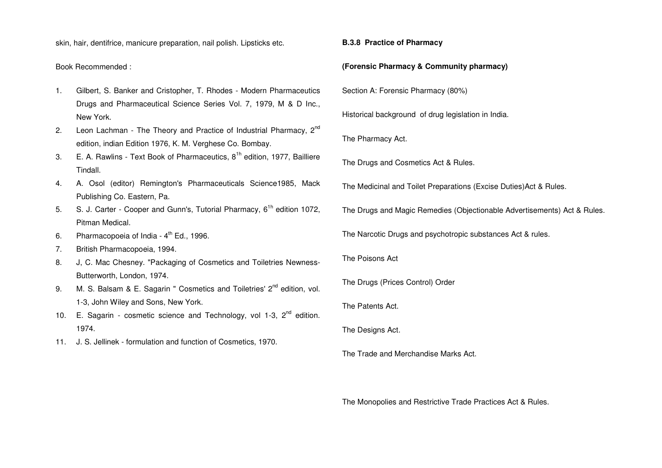skin, hair, dentifrice, manicure preparation, nail polish. Lipsticks etc.

Book Recommended :

- 1. Gilbert, S. Banker and Cristopher, T. Rhodes Modern Pharmaceutics Drugs and Pharmaceutical Science Series Vol. 7, 1979, M & D Inc., New York.
- 2. Leon Lachman The Theory and Practice of Industrial Pharmacy,  $2^{nd}$ edition, indian Edition 1976, K. M. Verghese Co. Bombay.
- 3. E. A. Rawlins Text Book of Pharmaceutics,  $8<sup>1h</sup>$  edition, 1977, Bailliere Tindall.
- 4. A. Osol (editor) Remington's Pharmaceuticals Science1985, Mack Publishing Co. Eastern, Pa.
- 5. S. J. Carter Cooper and Gunn's, Tutorial Pharmacy, 6<sup>th</sup> edition 1072, Pitman Medical.
- 6. Pharmacopoeia of India  $4<sup>th</sup>$  Ed., 1996.
- 7. British Pharmacopoeia, 1994.
- 8. J, C. Mac Chesney. "Packaging of Cosmetics and Toiletries Newness-Butterworth, London, 1974.
- 9. M. S. Balsam & E. Sagarin " Cosmetics and Toiletries' 2<sup>nd</sup> edition, vol. 1-3, John Wiley and Sons, New York.
- 10. E. Sagarin cosmetic science and Technology, vol 1-3,  $2^{nd}$  edition. 1974.
- 11. J. S. Jellinek formulation and function of Cosmetics, 1970.

**B.3.8 Practice of Pharmacy** 

**(Forensic Pharmacy & Community pharmacy)**

Section A: Forensic Pharmacy (80%)

Historical background of drug legislation in India.

The Pharmacy Act.

The Drugs and Cosmetics Act & Rules.

The Medicinal and Toilet Preparations (Excise Duties)Act & Rules.

The Drugs and Magic Remedies (Objectionable Advertisements) Act & Rules.

The Narcotic Drugs and psychotropic substances Act & rules.

The Poisons Act

The Drugs (Prices Control) Order

The Patents Act.

The Designs Act.

The Trade and Merchandise Marks Act.

The Monopolies and Restrictive Trade Practices Act & Rules.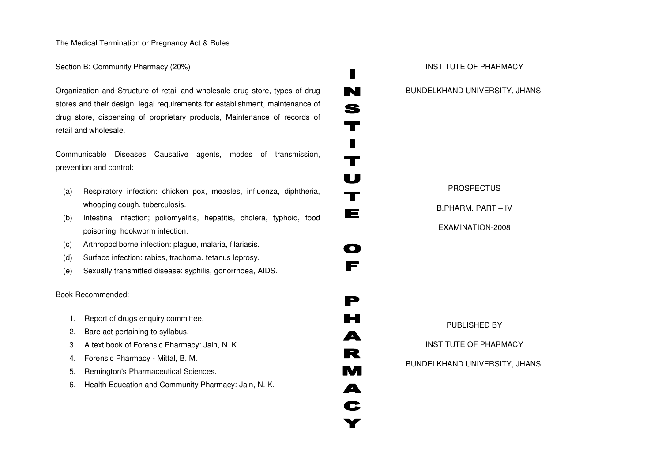The Medical Termination or Pregnancy Act & Rules.

# Section B: Community Pharmacy (20%)

Organization and Structure of retail and wholesale drug store, types of drug stores and their design, legal requirements for establishment, maintenance of drug store, dispensing of proprietary products, Maintenance of records of retail and wholesale.

Communicable Diseases Causative agents, modes of transmission, prevention and control:

- (a) Respiratory infection: chicken pox, measles, influenza, diphtheria, whooping cough, tuberculosis.
- (b) Intestinal infection; poliomyelitis, hepatitis, cholera, typhoid, food poisoning, hookworm infection.
- (c) Arthropod borne infection: plague, malaria, filariasis.
- (d) Surface infection: rabies, trachoma. tetanus leprosy.
- (e) Sexually transmitted disease: syphilis, gonorrhoea, AIDS.

# Book Recommended:

- 1. Report of drugs enquiry committee.
- 2. Bare act pertaining to syllabus.
- 3. A text book of Forensic Pharmacy: Jain, N. K.
- 4. Forensic Pharmacy Mittal, B. M.
- 5. Remington's Pharmaceutical Sciences.
- 6. Health Education and Community Pharmacy: Jain, N. K.

INSTITUTE OF PHARMACY BUNDELKHAND UNIVERSITY, JHANSI PROSPECTUS B.PHARM. PART – IV EXAMINATION-2008 PUBLISHED BY INSTITUTE OF PHARMACY BUNDELKHAND UNIVERSITY, JHANSI

п

N

S

 $\mathbf T$ 

 $\blacksquare$ 

 $\mathbf T$ 

 $\mathbf U$ 

 $\mathbf T$ 

 $\blacksquare$ 

 $\mathbf \Omega$ 

F

 $\blacksquare$ 

▙▀▊

A

R

**M** 

 $\blacktriangle$ 

C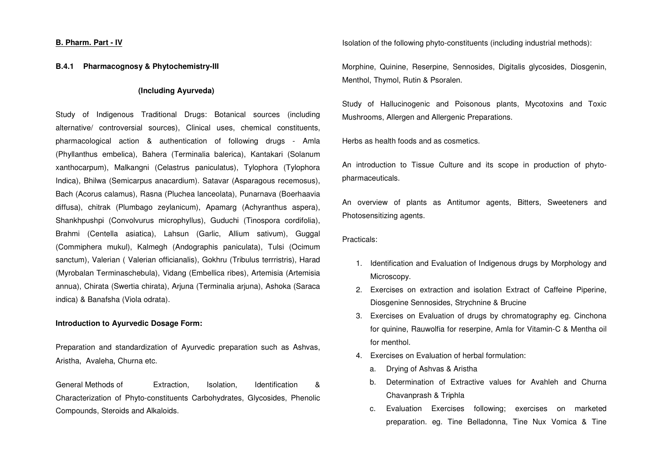### **B. Pharm. Part - IV**

#### **B.4.1 Pharmacognosy & Phytochemistry-III**

#### **(Including Ayurveda)**

Study of Indigenous Traditional Drugs: Botanical sources (including alternative/ controversial sources), Clinical uses, chemical constituents, pharmacological action & authentication of following drugs - Amla (Phyllanthus embelica), Bahera (Terminalia balerica), Kantakari (Solanum xanthocarpum), Malkangni (Celastrus paniculatus), Tylophora (Tylophora Indica), Bhilwa (Semicarpus anacardium). Satavar (Asparagous recemosus), Bach (Acorus calamus), Rasna (Pluchea lanceolata), Punarnava (Boerhaavia diffusa), chitrak (Plumbago zeylanicum), Apamarg (Achyranthus aspera), Shankhpushpi (Convolvurus microphyllus), Guduchi (Tinospora cordifolia), Brahmi (Centella asiatica), Lahsun (Garlic, Allium sativum), Guggal (Commiphera mukul), Kalmegh (Andographis paniculata), Tulsi (Ocimum sanctum), Valerian ( Valerian officianalis), Gokhru (Tribulus terrristris), Harad (Myrobalan Terminaschebula), Vidang (Embellica ribes), Artemisia (Artemisia annua), Chirata (Swertia chirata), Arjuna (Terminalia arjuna), Ashoka (Saraca indica) & Banafsha (Viola odrata).

#### **Introduction to Ayurvedic Dosage Form:**

Preparation and standardization of Ayurvedic preparation such as Ashvas, Aristha, Avaleha, Churna etc.

General Methods of Extraction, Isolation, Identification & Characterization of Phyto-constituents Carbohydrates, Glycosides, Phenolic Compounds, Steroids and Alkaloids.

Isolation of the following phyto-constituents (including industrial methods):

Morphine, Quinine, Reserpine, Sennosides, Digitalis glycosides, Diosgenin, Menthol, Thymol, Rutin & Psoralen.

Study of Hallucinogenic and Poisonous plants, Mycotoxins and Toxic Mushrooms, Allergen and Allergenic Preparations.

Herbs as health foods and as cosmetics.

An introduction to Tissue Culture and its scope in production of phytopharmaceuticals.

An overview of plants as Antitumor agents, Bitters, Sweeteners and Photosensitizing agents.

Practicals:

- 1. Identification and Evaluation of Indigenous drugs by Morphology and Microscopy.
- 2. Exercises on extraction and isolation Extract of Caffeine Piperine, Diosgenine Sennosides, Strychnine & Brucine
- 3. Exercises on Evaluation of drugs by chromatography eg. Cinchona for quinine, Rauwolfia for reserpine, Amla for Vitamin-C & Mentha oil for menthol.
- 4. Exercises on Evaluation of herbal formulation:
	- a. Drying of Ashvas & Aristha
	- b. Determination of Extractive values for Avahleh and Churna Chavanprash & Triphla
	- c. Evaluation Exercises following; exercises on marketed preparation. eg. Tine Belladonna, Tine Nux Vomica & Tine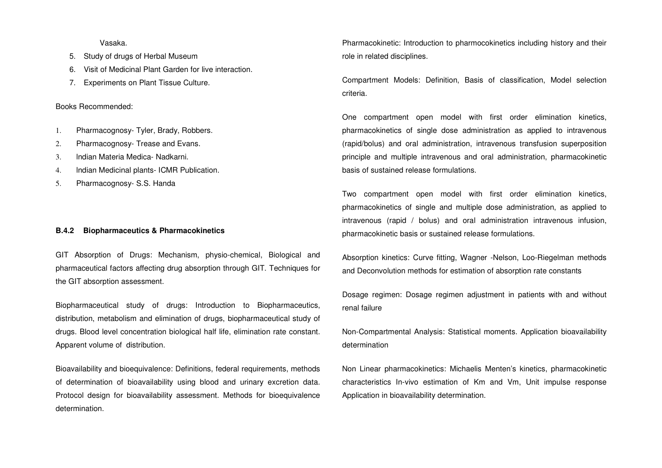Vasaka.

- 5. Study of drugs of Herbal Museum
- 6. Visit of Medicinal Plant Garden for live interaction.
- 7. Experiments on Plant Tissue Culture.

#### Books Recommended:

- 1. Pharmacognosy- Tyler, Brady, Robbers.
- 2. Pharmacognosy- Trease and Evans.
- 3. lndian Materia Medica- Nadkarni.
- 4. lndian Medicinal plants- ICMR Publication.
- 5. Pharmacognosy- S.S. Handa

#### **B.4.2 Biopharmaceutics & Pharmacokinetics**

GIT Absorption of Drugs: Mechanism, physio-chemical, Biological and pharmaceutical factors affecting drug absorption through GIT. Techniques for the GIT absorption assessment.

Biopharmaceutical study of drugs: Introduction to Biopharmaceutics, distribution, metabolism and elimination of drugs, biopharmaceutical study of drugs. Blood level concentration biological half life, elimination rate constant. Apparent volume of distribution.

Bioavailability and bioequivalence: Definitions, federal requirements, methods of determination of bioavailability using blood and urinary excretion data. Protocol design for bioavailability assessment. Methods for bioequivalence determination.

Pharmacokinetic: Introduction to pharmocokinetics including history and their role in related disciplines.

Compartment Models: Definition, Basis of classification, Model selection criteria.

One compartment open model with first order elimination kinetics, pharmacokinetics of single dose administration as applied to intravenous (rapid/bolus) and oral administration, intravenous transfusion superposition principle and multiple intravenous and oral administration, pharmacokinetic basis of sustained release formulations.

Two compartment open model with first order elimination kinetics, pharmacokinetics of single and multiple dose administration, as applied to intravenous (rapid / bolus) and oral administration intravenous infusion, pharmacokinetic basis or sustained release formulations.

Absorption kinetics: Curve fitting, Wagner -Nelson, Loo-Riegelman methods and Deconvolution methods for estimation of absorption rate constants

Dosage regimen: Dosage regimen adjustment in patients with and without renal failure

Non-Compartmental Analysis: Statistical moments. Application bioavailability determination

Non Linear pharmacokinetics: Michaelis Menten's kinetics, pharmacokinetic characteristics In-vivo estimation of Km and Vm, Unit impulse response Application in bioavailability determination.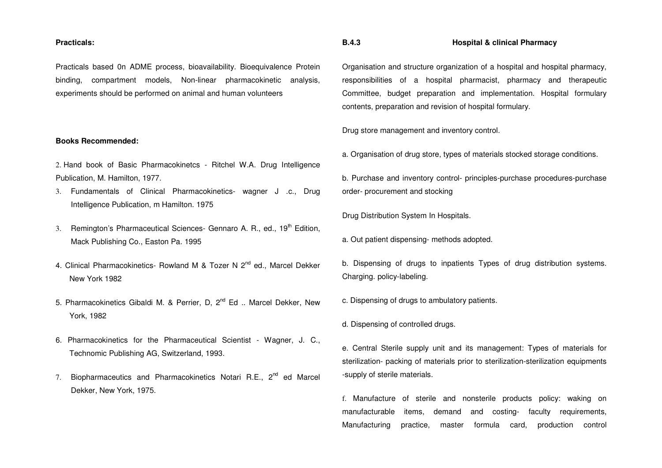#### **Practicals:**

Practicals based 0n ADME process, bioavailability. Bioequivalence Protein binding, compartment models, Non-linear pharmacokinetic analysis, experiments should be performed on animal and human volunteers

#### **Books Recommended:**

2. Hand book of Basic Pharmacokinetcs - Ritchel W.A. Drug Intelligence Publication, M. Hamilton, 1977.

- 3. Fundamentals of Clinical Pharmacokinetics- wagner J .c., Drug Intelligence Publication, m Hamilton. 1975
- 3. Remington's Pharmaceutical Sciences- Gennaro A. R., ed., 19<sup>th</sup> Edition, Mack Publishing Co., Easton Pa. 1995
- 4. Clinical Pharmacokinetics- Rowland M & Tozer N 2<sup>nd</sup> ed., Marcel Dekker New York 1982
- 5. Pharmacokinetics Gibaldi M. & Perrier, D. 2<sup>nd</sup> Ed .. Marcel Dekker, New York, 1982
- 6. Pharmacokinetics for the Pharmaceutical Scientist Wagner, J. C., Technomic Publishing AG, Switzerland, 1993.
- 7. Biopharmaceutics and Pharmacokinetics Notari R.E., 2<sup>nd</sup> ed Marcel Dekker, New York, 1975.

### **B.4.3 Hospital & clinical Pharmacy**

Organisation and structure organization of a hospital and hospital pharmacy, responsibilities of a hospital pharmacist, pharmacy and therapeutic Committee, budget preparation and implementation. Hospital formulary contents, preparation and revision of hospital formulary.

Drug store management and inventory control.

a. Organisation of drug store, types of materials stocked storage conditions.

b. Purchase and inventory control- principles-purchase procedures-purchase order- procurement and stocking

Drug Distribution System In Hospitals.

a. Out patient dispensing- methods adopted.

b. Dispensing of drugs to inpatients Types of drug distribution systems. Charging. policy-labeling.

c. Dispensing of drugs to ambulatory patients.

d. Dispensing of controlled drugs.

e. Central Sterile supply unit and its management: Types of materials for sterilization- packing of materials prior to sterilization-sterilization equipments -supply of sterile materials.

f. Manufacture of sterile and nonsterile products policy: waking on manufacturable items, demand and costing- faculty requirements, Manufacturing practice, master formula card, production control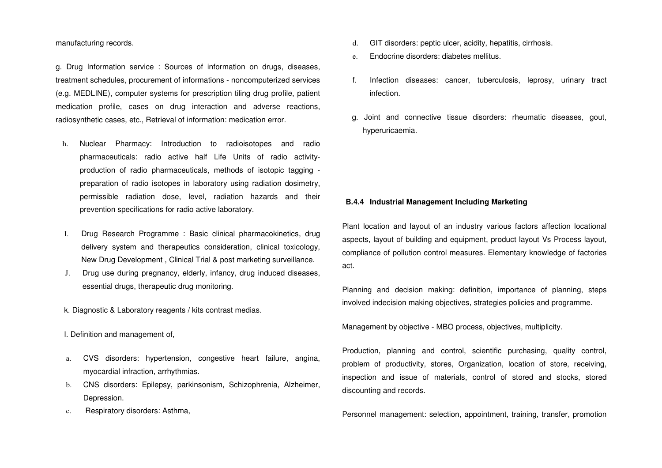manufacturing records.

g. Drug Information service : Sources of information on drugs, diseases, treatment schedules, procurement of informations - noncomputerized services (e.g. MEDLINE), computer systems for prescription tiling drug profile, patient medication profile, cases on drug interaction and adverse reactions, radiosynthetic cases, etc., Retrieval of information: medication error.

- h. Nuclear Pharmacy: Introduction to radioisotopes and radio pharmaceuticals: radio active half Life Units of radio activityproduction of radio pharmaceuticals, methods of isotopic tagging preparation of radio isotopes in laboratory using radiation dosimetry, permissible radiation dose, level, radiation hazards and their prevention specifications for radio active laboratory.
- I. Drug Research Programme : Basic clinical pharmacokinetics, drug delivery system and therapeutics consideration, clinical toxicology, New Drug Development , Clinical Trial & post marketing surveillance.
- J. Drug use during pregnancy, elderly, infancy, drug induced diseases, essential drugs, therapeutic drug monitoring.

k. Diagnostic & Laboratory reagents / kits contrast medias.

I. Definition and management of,

- a. CVS disorders: hypertension, congestive heart failure, angina, myocardial infraction, arrhythmias.
- b. CNS disorders: Epilepsy, parkinsonism, Schizophrenia, Alzheimer, Depression.
- c. Respiratory disorders: Asthma,
- d. GIT disorders: peptic ulcer, acidity, hepatitis, cirrhosis.
- e. Endocrine disorders: diabetes mellitus.
- f. Infection diseases: cancer, tuberculosis, leprosy, urinary tract infection.
- g. Joint and connective tissue disorders: rheumatic diseases, gout, hyperuricaemia.

# **B.4.4 Industrial Management Including Marketing**

Plant location and layout of an industry various factors affection locational aspects, layout of building and equipment, product layout Vs Process layout, compliance of pollution control measures. Elementary knowledge of factories act.

Planning and decision making: definition, importance of planning, steps involved indecision making objectives, strategies policies and programme.

Management by objective - MBO process, objectives, multiplicity.

Production, planning and control, scientific purchasing, quality control, problem of productivity, stores, Organization, location of store, receiving, inspection and issue of materials, control of stored and stocks, stored discounting and records.

Personnel management: selection, appointment, training, transfer, promotion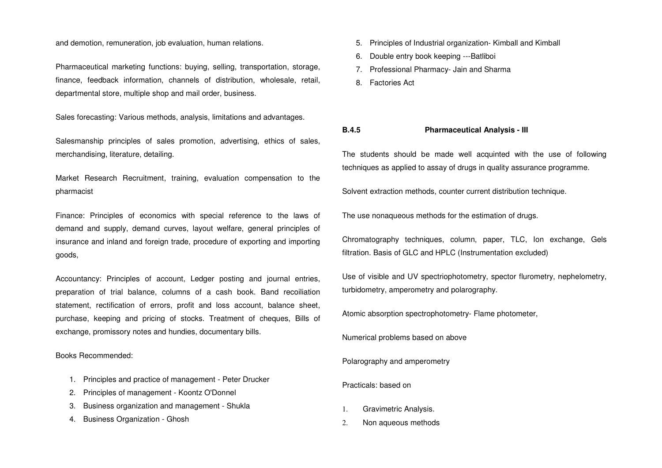and demotion, remuneration, job evaluation, human relations.

Pharmaceutical marketing functions: buying, selling, transportation, storage, finance, feedback information, channels of distribution, wholesale, retail, departmental store, multiple shop and mail order, business.

Sales forecasting: Various methods, analysis, limitations and advantages.

Salesmanship principles of sales promotion, advertising, ethics of sales, merchandising, literature, detailing.

Market Research Recruitment, training, evaluation compensation to the pharmacist

Finance: Principles of economics with special reference to the laws of demand and supply, demand curves, layout welfare, general principles of insurance and inland and foreign trade, procedure of exporting and importing goods,

Accountancy: Principles of account, Ledger posting and journal entries, preparation of trial balance, columns of a cash book. Band recoiliation statement, rectification of errors, profit and loss account, balance sheet, purchase, keeping and pricing of stocks. Treatment of cheques, Bills of exchange, promissory notes and hundies, documentary bills.

Books Recommended:

- 1. Principles and practice of management Peter Drucker
- 2. Principles of management Koontz O'Donnel
- 3. Business organization and management Shukla
- 4. Business Organization Ghosh
- 5. Principles of Industrial organization- Kimball and Kimball
- 6. Double entry book keeping ---Batliboi
- 7. Professional Pharmacy- Jain and Sharma
- 8. Factories Act

#### **B.4.5 Pharmaceutical Analysis - III**

The students should be made well acquinted with the use of following techniques as applied to assay of drugs in quality assurance programme.

Solvent extraction methods, counter current distribution technique.

The use nonaqueous methods for the estimation of drugs.

Chromatography techniques, column, paper, TLC, Ion exchange, Gels filtration. Basis of GLC and HPLC (Instrumentation excluded)

Use of visible and UV spectriophotometry, spector flurometry, nephelometry, turbidometry, amperometry and polarography.

Atomic absorption spectrophotometry- Flame photometer,

Numerical problems based on above

Polarography and amperometry

Practicals: based on

- 1. Gravimetric Analysis.
- 2. Non aqueous methods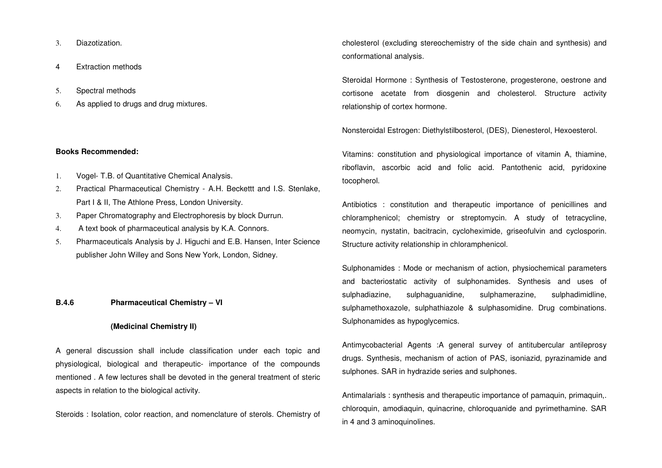- 3. Diazotization.
- 4 Extraction methods
- 5. Spectral methods
- 6. As applied to drugs and drug mixtures.

#### **Books Recommended:**

- 1. Vogel- T.B. of Quantitative Chemical Analysis.
- 2. Practical Pharmaceutical Chemistry A.H. Beckettt and I.S. Stenlake, Part I & II, The Athlone Press, London University.
- 3. Paper Chromatography and Electrophoresis by block Durrun.
- 4. A text book of pharmaceutical analysis by K.A. Connors.
- 5. Pharmaceuticals Analysis by J. Higuchi and E.B. Hansen, Inter Science publisher John Willey and Sons New York, London, Sidney.

#### **B.4.6 Pharmaceutical Chemistry – VI**

#### **(Medicinal Chemistry II)**

A general discussion shall include classification under each topic and physiological, biological and therapeutic- importance of the compounds mentioned . A few lectures shall be devoted in the general treatment of steric aspects in relation to the biological activity.

Steroids : Isolation, color reaction, and nomenclature of sterols. Chemistry of

cholesterol (excluding stereochemistry of the side chain and synthesis) and conformational analysis.

Steroidal Hormone : Synthesis of Testosterone, progesterone, oestrone and cortisone acetate from diosgenin and cholesterol. Structure activity relationship of cortex hormone.

Nonsteroidal Estrogen: Diethylstilbosterol, (DES), Dienesterol, Hexoesterol.

Vitamins: constitution and physiological importance of vitamin A, thiamine, riboflavin, ascorbic acid and folic acid. Pantothenic acid, pyridoxine tocopherol.

Antibiotics : constitution and therapeutic importance of penicillines and chloramphenicol; chemistry or streptomycin. A study of tetracycline, neomycin, nystatin, bacitracin, cycloheximide, griseofulvin and cyclosporin. Structure activity relationship in chloramphenicol.

Sulphonamides : Mode or mechanism of action, physiochemical parameters and bacteriostatic activity of sulphonamides. Synthesis and uses of sulphadiazine, sulphaguanidine, sulphamerazine, sulphadimidline, sulphamethoxazole, sulphathiazole & sulphasomidine. Drug combinations. Sulphonamides as hypoglycemics.

Antimycobacterial Agents :A general survey of antitubercular antileprosy drugs. Synthesis, mechanism of action of PAS, isoniazid, pyrazinamide and sulphones. SAR in hydrazide series and sulphones.

Antimalarials : synthesis and therapeutic importance of pamaquin, primaquin,. chloroquin, amodiaquin, quinacrine, chloroquanide and pyrimethamine. SAR in 4 and 3 aminoquinolines.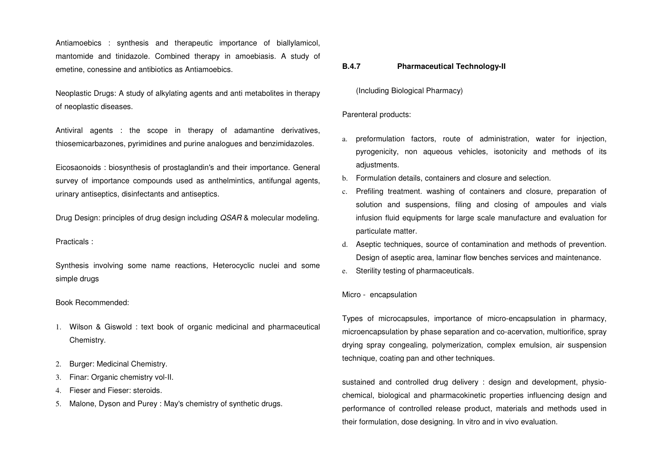Antiamoebics : synthesis and therapeutic importance of biallylamicol, mantomide and tinidazole. Combined therapy in amoebiasis. A study of emetine, conessine and antibiotics as Antiamoebics.

Neoplastic Drugs: A study of alkylating agents and anti metabolites in therapy of neoplastic diseases.

Antiviral agents : the scope in therapy of adamantine derivatives, thiosemicarbazones, pyrimidines and purine analogues and benzimidazoles.

Eicosaonoids : biosynthesis of prostaglandin's and their importance. General survey of importance compounds used as anthelmintics, antifungal agents, urinary antiseptics, disinfectants and antiseptics.

Drug Design: principles of drug design including QSAR & molecular modeling.

#### Practicals :

Synthesis involving some name reactions, Heterocyclic nuclei and some simple drugs

#### Book Recommended:

- 1. Wilson & Giswold : text book of organic medicinal and pharmaceutical Chemistry.
- 2. Burger: Medicinal Chemistry.
- 3. Finar: Organic chemistry vol-II.
- 4. Fieser and Fieser: steroids.
- 5. Malone, Dyson and Purey : May's chemistry of synthetic drugs.

#### **B.4.7Pharmaceutical Technology-II**

(Including Biological Pharmacy)

#### Parenteral products:

- a. preformulation factors, route of administration, water for injection, pyrogenicity, non aqueous vehicles, isotonicity and methods of its adjustments.
- b. Formulation details, containers and closure and selection.
- c. Prefiling treatment. washing of containers and closure, preparation of solution and suspensions, filing and closing of ampoules and vials infusion fluid equipments for large scale manufacture and evaluation for particulate matter.
- d. Aseptic techniques, source of contamination and methods of prevention. Design of aseptic area, laminar flow benches services and maintenance.
- e. Sterility testing of pharmaceuticals.

#### Micro - encapsulation

Types of microcapsules, importance of micro-encapsulation in pharmacy, microencapsulation by phase separation and co-acervation, multiorifice, spray drying spray congealing, polymerization, complex emulsion, air suspension technique, coating pan and other techniques.

sustained and controlled drug delivery : design and development, physiochemical, biological and pharmacokinetic properties influencing design and performance of controlled release product, materials and methods used in their formulation, dose designing. In vitro and in vivo evaluation.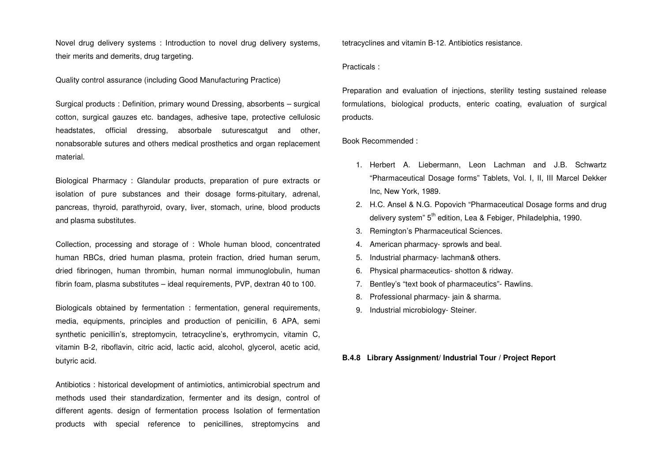Novel drug delivery systems : Introduction to novel drug delivery systems, their merits and demerits, drug targeting.

Quality control assurance (including Good Manufacturing Practice)

Surgical products : Definition, primary wound Dressing, absorbents – surgical cotton, surgical gauzes etc. bandages, adhesive tape, protective cellulosic headstates, official dressing, absorbale suturescatgut and other, nonabsorable sutures and others medical prosthetics and organ replacement material.

Biological Pharmacy : Glandular products, preparation of pure extracts or isolation of pure substances and their dosage forms-pituitary, adrenal, pancreas, thyroid, parathyroid, ovary, liver, stomach, urine, blood products and plasma substitutes.

Collection, processing and storage of : Whole human blood, concentrated human RBCs, dried human plasma, protein fraction, dried human serum, dried fibrinogen, human thrombin, human normal immunoglobulin, human fibrin foam, plasma substitutes – ideal requirements, PVP, dextran 40 to 100.

Biologicals obtained by fermentation : fermentation, general requirements, media, equipments, principles and production of penicillin, 6 APA, semi synthetic penicillin's, streptomycin, tetracycline's, erythromycin, vitamin C, vitamin B-2, riboflavin, citric acid, lactic acid, alcohol, glycerol, acetic acid, butyric acid.

Antibiotics : historical development of antimiotics, antimicrobial spectrum and methods used their standardization, fermenter and its design, control of different agents. design of fermentation process Isolation of fermentation products with special reference to penicillines, streptomycins and

tetracyclines and vitamin B-12. Antibiotics resistance.

Practicals :

Preparation and evaluation of injections, sterility testing sustained release formulations, biological products, enteric coating, evaluation of surgical products.

Book Recommended :

- 1. Herbert A. Liebermann, Leon Lachman and J.B. Schwartz "Pharmaceutical Dosage forms" Tablets, Vol. I, II, III Marcel Dekker Inc, New York, 1989.
- 2. H.C. Ansel & N.G. Popovich "Pharmaceutical Dosage forms and drug delivery system" 5<sup>th</sup> edition, Lea & Febiger, Philadelphia, 1990.
- 3. Remington's Pharmaceutical Sciences.
- 4. American pharmacy- sprowls and beal.
- 5. Industrial pharmacy- lachman& others.
- 6. Physical pharmaceutics- shotton & ridway.
- 7. Bentley's "text book of pharmaceutics"- Rawlins.
- 8. Professional pharmacy- jain & sharma.
- 9. Industrial microbiology- Steiner.

#### **B.4.8 Library Assignment/ Industrial Tour / Project Report**